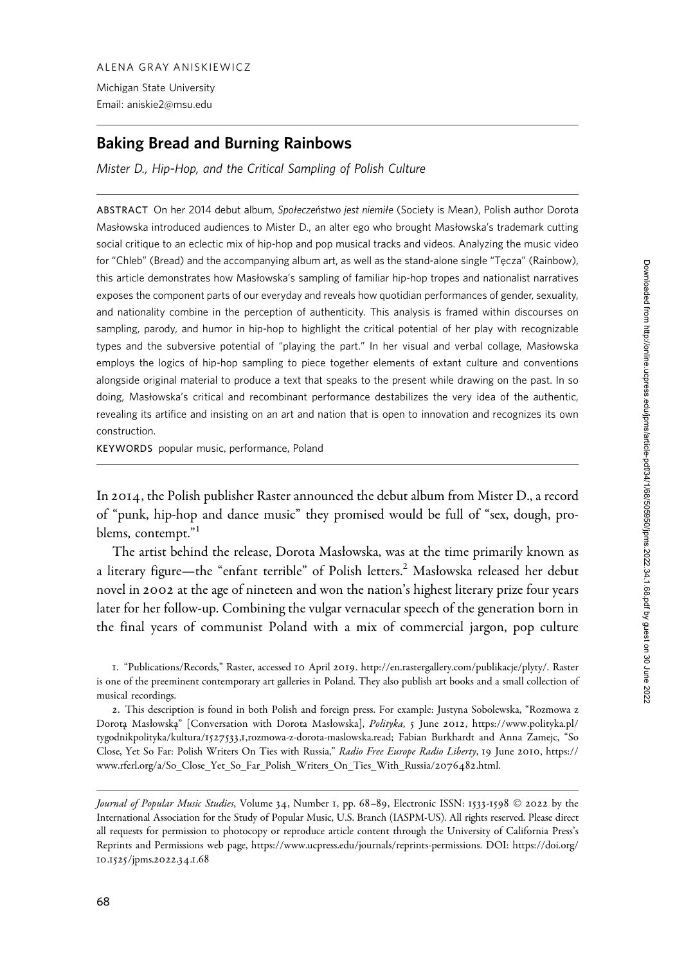ALENA GRAY ANISKIEWICZ Michigan State University Email: aniskie2@msu.edu

# Baking Bread and Burning Rainbows

Mister D., Hip-Hop, and the Critical Sampling of Polish Culture

ABSTRACT On her 2014 debut album, Społeczeństwo jest niemiłe (Society is Mean), Polish author Dorota Masłowska introduced audiences to Mister D., an alter ego who brought Masłowska's trademark cutting social critique to an eclectic mix of hip-hop and pop musical tracks and videos. Analyzing the music video for "Chleb" (Bread) and the accompanying album art, as well as the stand-alone single "Tęcza" (Rainbow), this article demonstrates how Masłowska's sampling of familiar hip-hop tropes and nationalist narratives exposes the component parts of our everyday and reveals how quotidian performances of gender, sexuality, and nationality combine in the perception of authenticity. This analysis is framed within discourses on sampling, parody, and humor in hip-hop to highlight the critical potential of her play with recognizable types and the subversive potential of "playing the part." In her visual and verbal collage, Masłowska employs the logics of hip-hop sampling to piece together elements of extant culture and conventions alongside original material to produce a text that speaks to the present while drawing on the past. In so doing, Masłowska's critical and recombinant performance destabilizes the very idea of the authentic, revealing its artifice and insisting on an art and nation that is open to innovation and recognizes its own construction.

KEYWORDS popular music, performance, Poland

In 2014, the Polish publisher Raster announced the debut album from Mister D., a record of "punk, hip-hop and dance music" they promised would be full of "sex, dough, problems, contempt."<sup>1</sup>

The artist behind the release, Dorota Masłowska, was at the time primarily known as a literary figure—the "enfant terrible" of Polish letters.<sup>2</sup> Masłowska released her debut novel in 2002 at the age of nineteen and won the nation's highest literary prize four years later for her follow-up. Combining the vulgar vernacular speech of the generation born in the final years of communist Poland with a mix of commercial jargon, pop culture

1. "Publications/Records," Raster, accessed 10 April 2019. [http://en.rastergallery.com/publikacje/plyty/.](http://en.rastergallery.com/publikacje/plyty/) Raster is one of the preeminent contemporary art galleries in Poland. They also publish art books and a small collection of musical recordings.

2. This description is found in both Polish and foreign press. For example: Justyna Sobolewska, "Rozmowa z Dorotą Masłowską" [Conversation with Dorota Masłowska], Polityka, 5 June 2012, [https://www.polityka.pl/](https://www.polityka.pl/tygodnikpolityka/kultura/1527533,1,rozmowa-z-dorota-maslowska.read) tygodnikpolityka/kultura/1527533,1[,rozmowa-z-dorota-maslowska.read](https://www.polityka.pl/tygodnikpolityka/kultura/1527533,1,rozmowa-z-dorota-maslowska.read); Fabian Burkhardt and Anna Zamejc, "So Close, Yet So Far: Polish Writers On Ties with Russia," Radio Free Europe Radio Liberty, 19 June 2010, [https://](https://www.rferl.org/a/So_Close_Yet_So_Far_Polish_Writers_On_Ties_With_Russia/2076482.html) [www.rferl.org/a/So\\_Close\\_Yet\\_So\\_Far\\_Polish\\_Writers\\_On\\_Ties\\_With\\_Russia/](https://www.rferl.org/a/So_Close_Yet_So_Far_Polish_Writers_On_Ties_With_Russia/2076482.html)2076482.html.

Journal of Popular Music Studies, Volume 34, Number 1, pp. 68–89, Electronic ISSN: 1533-1598 © 2022 by the International Association for the Study of Popular Music, U.S. Branch (IASPM-US). All rights reserved. Please direct all requests for permission to photocopy or reproduce article content through the University of California Press's Reprints and Permissions web page, [https://www.ucpress.edu/journals/reprints-permissions.](https://www.ucpress.edu/journals/reprints-permissions) [DOI: https://doi.org/](https://doi.org/10.1525/jpms.2022.34.1.68) 10.1525[/jpms.](https://doi.org/10.1525/jpms.2022.34.1.68)2022.34.1.68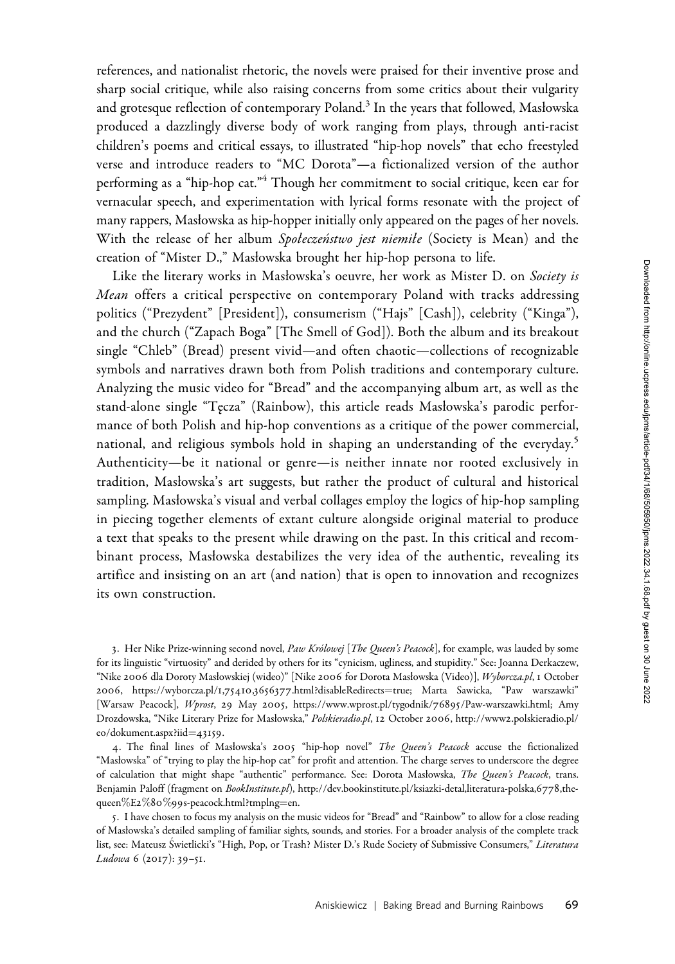references, and nationalist rhetoric, the novels were praised for their inventive prose and sharp social critique, while also raising concerns from some critics about their vulgarity and grotesque reflection of contemporary Poland.<sup>3</sup> In the years that followed, Masłowska produced a dazzlingly diverse body of work ranging from plays, through anti-racist children's poems and critical essays, to illustrated "hip-hop novels" that echo freestyled verse and introduce readers to "MC Dorota"—a fictionalized version of the author performing as a "hip-hop cat."<sup>4</sup> Though her commitment to social critique, keen ear for vernacular speech, and experimentation with lyrical forms resonate with the project of many rappers, Masłowska as hip-hopper initially only appeared on the pages of her novels. With the release of her album Społeczeństwo jest niemiłe (Society is Mean) and the creation of "Mister D.," Masłowska brought her hip-hop persona to life.

Like the literary works in Masłowska's oeuvre, her work as Mister D. on Society is Mean offers a critical perspective on contemporary Poland with tracks addressing politics ("Prezydent" [President]), consumerism ("Hajs" [Cash]), celebrity ("Kinga"), and the church ("Zapach Boga" [The Smell of God]). Both the album and its breakout single "Chleb" (Bread) present vivid—and often chaotic—collections of recognizable symbols and narratives drawn both from Polish traditions and contemporary culture. Analyzing the music video for "Bread" and the accompanying album art, as well as the stand-alone single "Tecza" (Rainbow), this article reads Masłowska's parodic performance of both Polish and hip-hop conventions as a critique of the power commercial, national, and religious symbols hold in shaping an understanding of the everyday.<sup>5</sup> Authenticity—be it national or genre—is neither innate nor rooted exclusively in tradition, Masłowska's art suggests, but rather the product of cultural and historical sampling. Masłowska's visual and verbal collages employ the logics of hip-hop sampling in piecing together elements of extant culture alongside original material to produce a text that speaks to the present while drawing on the past. In this critical and recombinant process, Masłowska destabilizes the very idea of the authentic, revealing its artifice and insisting on an art (and nation) that is open to innovation and recognizes its own construction.

3. Her Nike Prize-winning second novel, Paw Królowej [The Queen's Peacock], for example, was lauded by some for its linguistic "virtuosity" and derided by others for its "cynicism, ugliness, and stupidity." See: Joanna Derkaczew, "Nike 2006 dla Doroty Masłowskiej (wideo)" [Nike 2006 for Dorota Masłowska (Video)], <Wyborcza.pl>, 1 October 2006, https://wyborcza.pl/1,75410,3656377[.html?disableRedirects](https://wyborcza.pl/1,75410,3656377.html?disableRedirects=true)=[true;](https://wyborcza.pl/1,75410,3656377.html?disableRedirects=true) Marta Sawicka, "Paw warszawki" [Warsaw Peacock], Wprost, 29 May 2005, [https://www.wprost.pl/tygodnik/](https://www.wprost.pl/tygodnik/76895/Paw-warszawki.html)76895/Paw-warszawki.html; Amy Drozdowska, "Nike Literary Prize for Masłowska," <Polskieradio.pl>, 12 October 2006, http://www2[.polskieradio.pl/](http://www2.polskieradio.pl/eo/dokument.aspx?iid=43159) [eo/dokument.aspx?iid](http://www2.polskieradio.pl/eo/dokument.aspx?iid=43159)=[43159](http://www2.polskieradio.pl/eo/dokument.aspx?iid=43159).

4. The final lines of Masłowska's 2005 "hip-hop novel" The Queen's Peacock accuse the fictionalized "Masłowska" of "trying to play the hip-hop cat" for profit and attention. The charge serves to underscore the degree of calculation that might shape "authentic" performance. See: Dorota Masłowska, The Queen's Peacock, trans. Benjamin Paloff (fragment on <BookInstitute.pl>), [http://dev.bookinstitute.pl/ksiazki-detal,literatura-polska,](http://dev.bookinstitute.pl/ksiazki-detal,literatura-polska,6778,the-queen%E2%80%99s-peacock.html?tmplng=en)6778,the[queen](http://dev.bookinstitute.pl/ksiazki-detal,literatura-polska,6778,the-queen%E2%80%99s-peacock.html?tmplng=en) $%E2\%80\%99s$  $%E2\%80\%99s$  $%E2\%80\%99s$  $%E2\%80\%99s$  $%E2\%80\%99s$ -peacock.html?tmplng=[en](http://dev.bookinstitute.pl/ksiazki-detal,literatura-polska,6778,the-queen%E2%80%99s-peacock.html?tmplng=en).

5. I have chosen to focus my analysis on the music videos for "Bread" and "Rainbow" to allow for a close reading of Masłowska's detailed sampling of familiar sights, sounds, and stories. For a broader analysis of the complete track list, see: Mateusz Świetlicki's "High, Pop, or Trash? Mister D.'s Rude Society of Submissive Consumers," Literatura Ludowa 6 (2017): 39-51.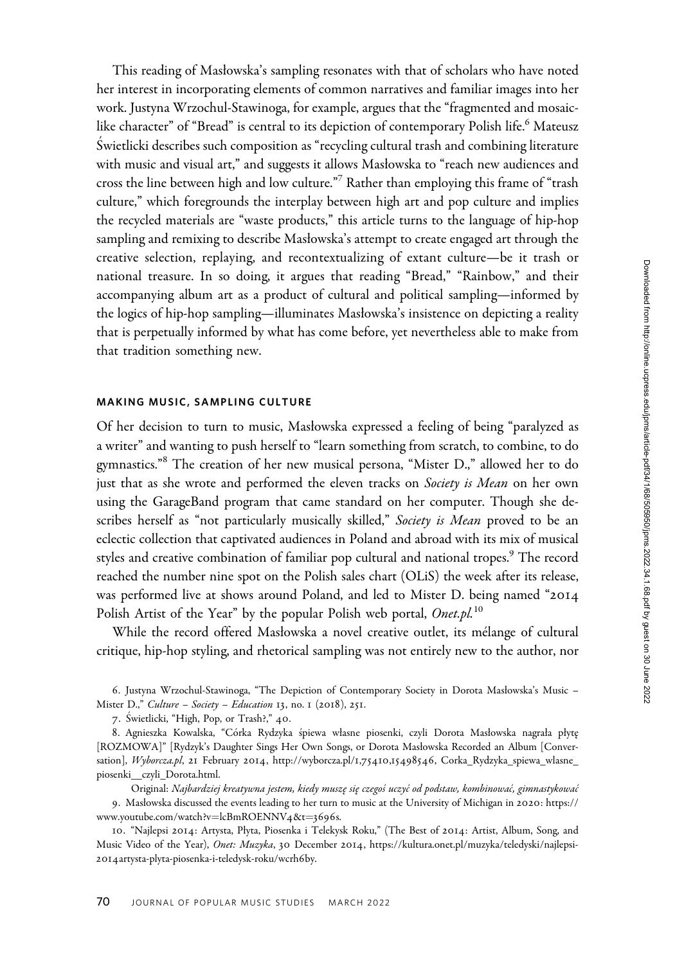This reading of Masłowska's sampling resonates with that of scholars who have noted her interest in incorporating elements of common narratives and familiar images into her work. Justyna Wrzochul-Stawinoga, for example, argues that the "fragmented and mosaiclike character" of "Bread" is central to its depiction of contemporary Polish life.<sup>6</sup> Mateusz S ´wietlicki describes such composition as "recycling cultural trash and combining literature with music and visual art," and suggests it allows Masłowska to "reach new audiences and cross the line between high and low culture."<sup>7</sup> Rather than employing this frame of "trash culture," which foregrounds the interplay between high art and pop culture and implies the recycled materials are "waste products," this article turns to the language of hip-hop sampling and remixing to describe Masłowska's attempt to create engaged art through the creative selection, replaying, and recontextualizing of extant culture—be it trash or national treasure. In so doing, it argues that reading "Bread," "Rainbow," and their accompanying album art as a product of cultural and political sampling—informed by the logics of hip-hop sampling—illuminates Masłowska's insistence on depicting a reality that is perpetually informed by what has come before, yet nevertheless able to make from that tradition something new.

### MAKING MUSIC, SAMPLING CULTURE

Of her decision to turn to music, Masłowska expressed a feeling of being "paralyzed as a writer" and wanting to push herself to "learn something from scratch, to combine, to do gymnastics."<sup>8</sup> The creation of her new musical persona, "Mister D.," allowed her to do just that as she wrote and performed the eleven tracks on Society is Mean on her own using the GarageBand program that came standard on her computer. Though she describes herself as "not particularly musically skilled," Society is Mean proved to be an eclectic collection that captivated audiences in Poland and abroad with its mix of musical styles and creative combination of familiar pop cultural and national tropes.<sup>9</sup> The record reached the number nine spot on the Polish sales chart (OLiS) the week after its release, was performed live at shows around Poland, and led to Mister D. being named "2014 Polish Artist of the Year" by the popular Polish web portal, <Onet.pl>.<sup>10</sup>

While the record offered Masłowska a novel creative outlet, its mélange of cultural critique, hip-hop styling, and rhetorical sampling was not entirely new to the author, nor

6. Justyna Wrzochul-Stawinoga, "The Depiction of Contemporary Society in Dorota Masłowska's Music – Mister D.," Culture – Society – Education 13, no. 1 (2018), 251.

7. Swietlicki, "High, Pop, or Trash?," 40.

8. Agnieszka Kowalska, "Córka Rydzyka śpiewa własne piosenki, czyli Dorota Masłowska nagrała płytę [ROZMOWA]" [Rydzyk's Daughter Sings Her Own Songs, or Dorota Masłowska Recorded an Album [Conver-sation], <Wyborcza.pl>, 21 February 2014, http://wyborcza.pl/1,75410,15498546[, Corka\\_Rydzyka\\_spiewa\\_wlasne\\_](http://wyborcza.pl/1,75410,15498546, Corka_Rydzyka_spiewa_wlasne_piosenki__czyli_Dorota.html) [piosenki\\_\\_czyli\\_Dorota.html.](http://wyborcza.pl/1,75410,15498546, Corka_Rydzyka_spiewa_wlasne_piosenki__czyli_Dorota.html)

Original: Najbardziej kreatywna jestem, kiedy muszę się czegoś uczyć od podstaw, kombinować, gimnastykować 9. Masłowska discussed the events leading to her turn to music at the University of Michigan in 2020: [https://](https://www.youtube.com/watch?v=lcBmROENNV4&t=3696s) [www.youtube.com/watch?v](https://www.youtube.com/watch?v=lcBmROENNV4&t=3696s)=[lcBmROENNV](https://www.youtube.com/watch?v=lcBmROENNV4&t=3696s)4&t=[3696](https://www.youtube.com/watch?v=lcBmROENNV4&t=3696s)s.

10. "Najlepsi 2014: Artysta, Płyta, Piosenka i Telekysk Roku," (The Best of 2014: Artist, Album, Song, and Music Video of the Year), Onet: Muzyka, 30 December 2014, [https://kultura.onet.pl/muzyka/teledyski/najlepsi-](https://kultura.onet.pl/muzyka/teledyski/najlepsi-2014artysta-plyta-piosenka-i-teledysk-roku/wcrh6by)2014[artysta-plyta-piosenka-i-teledysk-roku/wcrh](https://kultura.onet.pl/muzyka/teledyski/najlepsi-2014artysta-plyta-piosenka-i-teledysk-roku/wcrh6by)6by.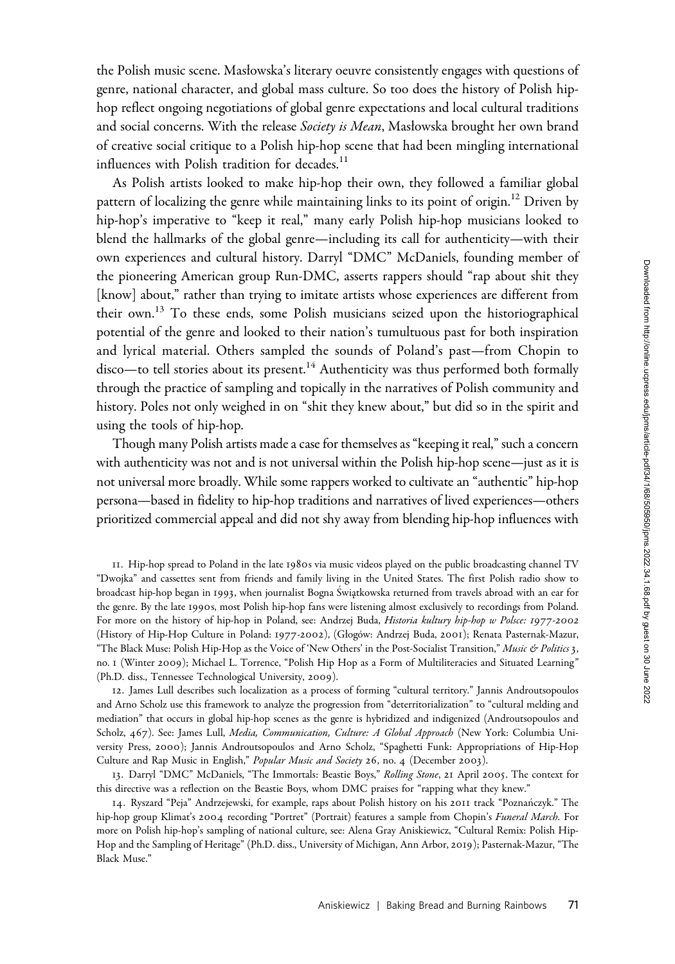the Polish music scene. Masłowska's literary oeuvre consistently engages with questions of genre, national character, and global mass culture. So too does the history of Polish hiphop reflect ongoing negotiations of global genre expectations and local cultural traditions and social concerns. With the release Society is Mean, Masłowska brought her own brand of creative social critique to a Polish hip-hop scene that had been mingling international influences with Polish tradition for decades.<sup>11</sup>

As Polish artists looked to make hip-hop their own, they followed a familiar global pattern of localizing the genre while maintaining links to its point of origin.<sup>12</sup> Driven by hip-hop's imperative to "keep it real," many early Polish hip-hop musicians looked to blend the hallmarks of the global genre—including its call for authenticity—with their own experiences and cultural history. Darryl "DMC" McDaniels, founding member of the pioneering American group Run-DMC, asserts rappers should "rap about shit they [know] about," rather than trying to imitate artists whose experiences are different from their own.<sup>13</sup> To these ends, some Polish musicians seized upon the historiographical potential of the genre and looked to their nation's tumultuous past for both inspiration and lyrical material. Others sampled the sounds of Poland's past—from Chopin to  $disco$ —to tell stories about its present.<sup>14</sup> Authenticity was thus performed both formally through the practice of sampling and topically in the narratives of Polish community and history. Poles not only weighed in on "shit they knew about," but did so in the spirit and using the tools of hip-hop.

Though many Polish artists made a case for themselves as "keeping it real," such a concern with authenticity was not and is not universal within the Polish hip-hop scene—just as it is not universal more broadly. While some rappers worked to cultivate an "authentic" hip-hop persona—based in fidelity to hip-hop traditions and narratives of lived experiences—others prioritized commercial appeal and did not shy away from blending hip-hop influences with

11. Hip-hop spread to Poland in the late 1980s via music videos played on the public broadcasting channel TV "Dwojka" and cassettes sent from friends and family living in the United States. The first Polish radio show to broadcast hip-hop began in 1993, when journalist Bogna Swiątkowska returned from travels abroad with an ear for the genre. By the late 1990s, most Polish hip-hop fans were listening almost exclusively to recordings from Poland. For more on the history of hip-hop in Poland, see: Andrzej Buda, Historia kultury hip-hop w Polsce: 1977-2002 (History of Hip-Hop Culture in Poland: 1977-2002), (Głogo´w: Andrzej Buda, 2001); Renata Pasternak-Mazur, "The Black Muse: Polish Hip-Hop as the Voice of 'New Others' in the Post-Socialist Transition," Music & Politics 3, no. 1 (Winter 2009); Michael L. Torrence, "Polish Hip Hop as a Form of Multiliteracies and Situated Learning" (Ph.D. diss., Tennessee Technological University, 2009).

12. James Lull describes such localization as a process of forming "cultural territory." Jannis Androutsopoulos and Arno Scholz use this framework to analyze the progression from "deterritorialization" to "cultural melding and mediation" that occurs in global hip-hop scenes as the genre is hybridized and indigenized (Androutsopoulos and Scholz, 467). See: James Lull, Media, Communication, Culture: A Global Approach (New York: Columbia University Press, 2000); Jannis Androutsopoulos and Arno Scholz, "Spaghetti Funk: Appropriations of Hip-Hop Culture and Rap Music in English," Popular Music and Society 26, no. 4 (December 2003).

13. Darryl "DMC" McDaniels, "The Immortals: Beastie Boys," Rolling Stone, 21 April 2005. The context for this directive was a reflection on the Beastie Boys, whom DMC praises for "rapping what they knew."

14. Ryszard "Peja" Andrzejewski, for example, raps about Polish history on his 2011 track "Poznan´czyk." The hip-hop group Klimat's 2004 recording "Portret" (Portrait) features a sample from Chopin's Funeral March. For more on Polish hip-hop's sampling of national culture, see: Alena Gray Aniskiewicz, "Cultural Remix: Polish Hip-Hop and the Sampling of Heritage" (Ph.D. diss., University of Michigan, Ann Arbor, 2019); Pasternak-Mazur, "The Black Muse."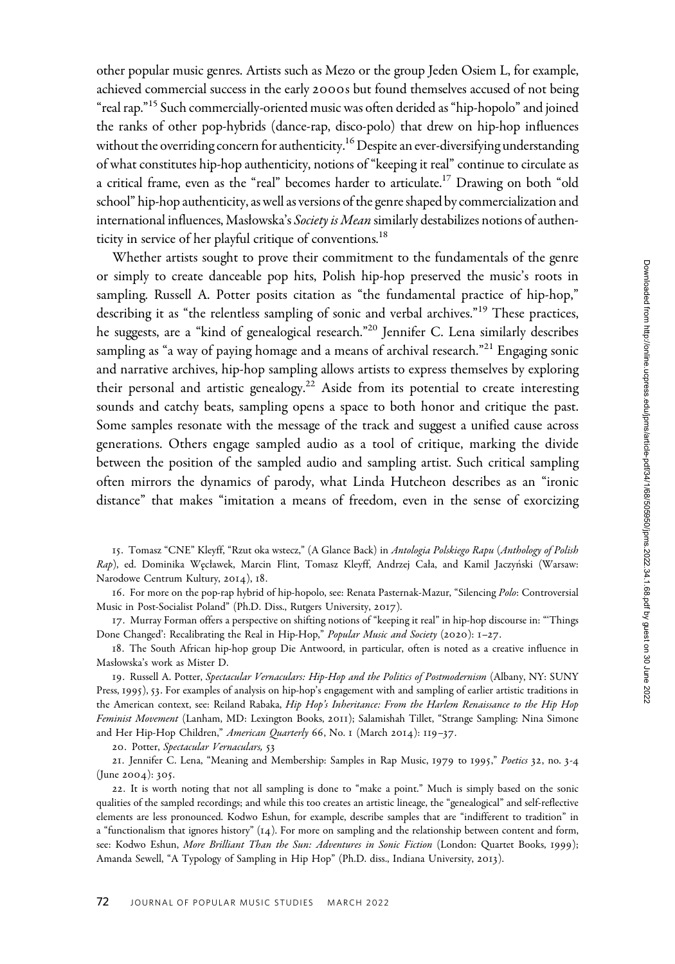other popular music genres. Artists such as Mezo or the group Jeden Osiem L, for example, achieved commercial success in the early 2000s but found themselves accused of not being "real rap."<sup>15</sup> Such commercially-oriented music was often derided as "hip-hopolo" and joined the ranks of other pop-hybrids (dance-rap, disco-polo) that drew on hip-hop influences without the overriding concern for authenticity.<sup>16</sup> Despite an ever-diversifying understanding of what constitutes hip-hop authenticity, notions of "keeping it real" continue to circulate as a critical frame, even as the "real" becomes harder to articulate.<sup>17</sup> Drawing on both "old school" hip-hop authenticity, as well as versions of the genre shaped by commercialization and international influences, Masłowska's Society is Mean similarly destabilizes notions of authenticity in service of her playful critique of conventions.<sup>18</sup>

Whether artists sought to prove their commitment to the fundamentals of the genre or simply to create danceable pop hits, Polish hip-hop preserved the music's roots in sampling. Russell A. Potter posits citation as "the fundamental practice of hip-hop," describing it as "the relentless sampling of sonic and verbal archives."<sup>19</sup> These practices, he suggests, are a "kind of genealogical research."<sup>20</sup> Jennifer C. Lena similarly describes sampling as "a way of paying homage and a means of archival research."<sup>21</sup> Engaging sonic and narrative archives, hip-hop sampling allows artists to express themselves by exploring their personal and artistic genealogy.<sup>22</sup> Aside from its potential to create interesting sounds and catchy beats, sampling opens a space to both honor and critique the past. Some samples resonate with the message of the track and suggest a unified cause across generations. Others engage sampled audio as a tool of critique, marking the divide between the position of the sampled audio and sampling artist. Such critical sampling often mirrors the dynamics of parody, what Linda Hutcheon describes as an "ironic distance" that makes "imitation a means of freedom, even in the sense of exorcizing

15. Tomasz "CNE" Kleyff, "Rzut oka wstecz," (A Glance Back) in Antologia Polskiego Rapu (Anthology of Polish Rap), ed. Dominika Węcławek, Marcin Flint, Tomasz Kleyff, Andrzej Cała, and Kamil Jaczyński (Warsaw: Narodowe Centrum Kultury, 2014), 18.

16. For more on the pop-rap hybrid of hip-hopolo, see: Renata Pasternak-Mazur, "Silencing Polo: Controversial Music in Post-Socialist Poland" (Ph.D. Diss., Rutgers University, 2017).

17. Murray Forman offers a perspective on shifting notions of "keeping it real" in hip-hop discourse in: "'Things Done Changed': Recalibrating the Real in Hip-Hop," Popular Music and Society (2020): 1-27.

18. The South African hip-hop group Die Antwoord, in particular, often is noted as a creative influence in Masłowska's work as Mister D.

19. Russell A. Potter, Spectacular Vernaculars: Hip-Hop and the Politics of Postmodernism (Albany, NY: SUNY Press, 1995), 53. For examples of analysis on hip-hop's engagement with and sampling of earlier artistic traditions in the American context, see: Reiland Rabaka, Hip Hop's Inheritance: From the Harlem Renaissance to the Hip Hop Feminist Movement (Lanham, MD: Lexington Books, 2011); Salamishah Tillet, "Strange Sampling: Nina Simone and Her Hip-Hop Children," American Quarterly 66, No. 1 (March 2014): 119-37.

20. Potter, Spectacular Vernaculars, 53

21. Jennifer C. Lena, "Meaning and Membership: Samples in Rap Music, 1979 to 1995," Poetics 32, no. 3-4 (June 2004): 305.

22. It is worth noting that not all sampling is done to "make a point." Much is simply based on the sonic qualities of the sampled recordings; and while this too creates an artistic lineage, the "genealogical" and self-reflective elements are less pronounced. Kodwo Eshun, for example, describe samples that are "indifferent to tradition" in a "functionalism that ignores history" (14). For more on sampling and the relationship between content and form, see: Kodwo Eshun, More Brilliant Than the Sun: Adventures in Sonic Fiction (London: Quartet Books, 1999); Amanda Sewell, "A Typology of Sampling in Hip Hop" (Ph.D. diss., Indiana University, 2013).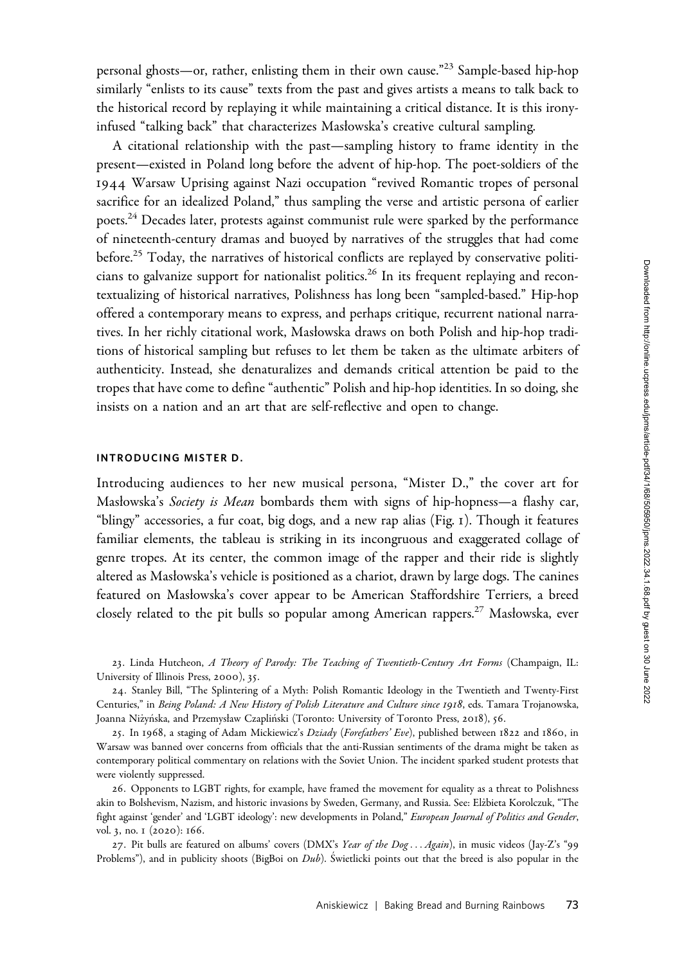personal ghosts—or, rather, enlisting them in their own cause."<sup>23</sup> Sample-based hip-hop similarly "enlists to its cause" texts from the past and gives artists a means to talk back to the historical record by replaying it while maintaining a critical distance. It is this ironyinfused "talking back" that characterizes Masłowska's creative cultural sampling.

A citational relationship with the past—sampling history to frame identity in the present—existed in Poland long before the advent of hip-hop. The poet-soldiers of the 1944 Warsaw Uprising against Nazi occupation "revived Romantic tropes of personal sacrifice for an idealized Poland," thus sampling the verse and artistic persona of earlier poets.<sup>24</sup> Decades later, protests against communist rule were sparked by the performance of nineteenth-century dramas and buoyed by narratives of the struggles that had come before.<sup>25</sup> Today, the narratives of historical conflicts are replayed by conservative politicians to galvanize support for nationalist politics.<sup>26</sup> In its frequent replaying and recontextualizing of historical narratives, Polishness has long been "sampled-based." Hip-hop offered a contemporary means to express, and perhaps critique, recurrent national narratives. In her richly citational work, Masłowska draws on both Polish and hip-hop traditions of historical sampling but refuses to let them be taken as the ultimate arbiters of authenticity. Instead, she denaturalizes and demands critical attention be paid to the tropes that have come to define "authentic" Polish and hip-hop identities. In so doing, she insists on a nation and an art that are self-reflective and open to change.

# INTRODUCING MISTER D.

Introducing audiences to her new musical persona, "Mister D.," the cover art for Masłowska's Society is Mean bombards them with signs of hip-hopness-a flashy car, "blingy" accessories, a fur coat, big dogs, and a new rap alias (Fig. 1). Though it features familiar elements, the tableau is striking in its incongruous and exaggerated collage of genre tropes. At its center, the common image of the rapper and their ride is slightly altered as Masłowska's vehicle is positioned as a chariot, drawn by large dogs. The canines featured on Masłowska's cover appear to be American Staffordshire Terriers, a breed closely related to the pit bulls so popular among American rappers.<sup>27</sup> Masłowska, ever

23. Linda Hutcheon, A Theory of Parody: The Teaching of Twentieth-Century Art Forms (Champaign, IL: University of Illinois Press, 2000), 35.

24. Stanley Bill, "The Splintering of a Myth: Polish Romantic Ideology in the Twentieth and Twenty-First Centuries," in Being Poland: A New History of Polish Literature and Culture since 1918, eds. Tamara Trojanowska, Joanna Niżyńska, and Przemysław Czapliński (Toronto: University of Toronto Press, 2018), 56.

25. In 1968, a staging of Adam Mickiewicz's Dziady (Forefathers' Eve), published between 1822 and 1860, in Warsaw was banned over concerns from officials that the anti-Russian sentiments of the drama might be taken as contemporary political commentary on relations with the Soviet Union. The incident sparked student protests that were violently suppressed.

26. Opponents to LGBT rights, for example, have framed the movement for equality as a threat to Polishness akin to Bolshevism, Nazism, and historic invasions by Sweden, Germany, and Russia. See: Elzbieta Korolczuk, "The \_ fight against 'gender' and 'LGBT ideology': new developments in Poland," European Journal of Politics and Gender, vol. 3, no. 1 (2020): 166.

27. Pit bulls are featured on albums' covers (DMX's Year of the Dog... Again), in music videos (Jay-Z's "99 Problems"), and in publicity shoots (BigBoi on  $Dub$ ). Swietlicki points out that the breed is also popular in the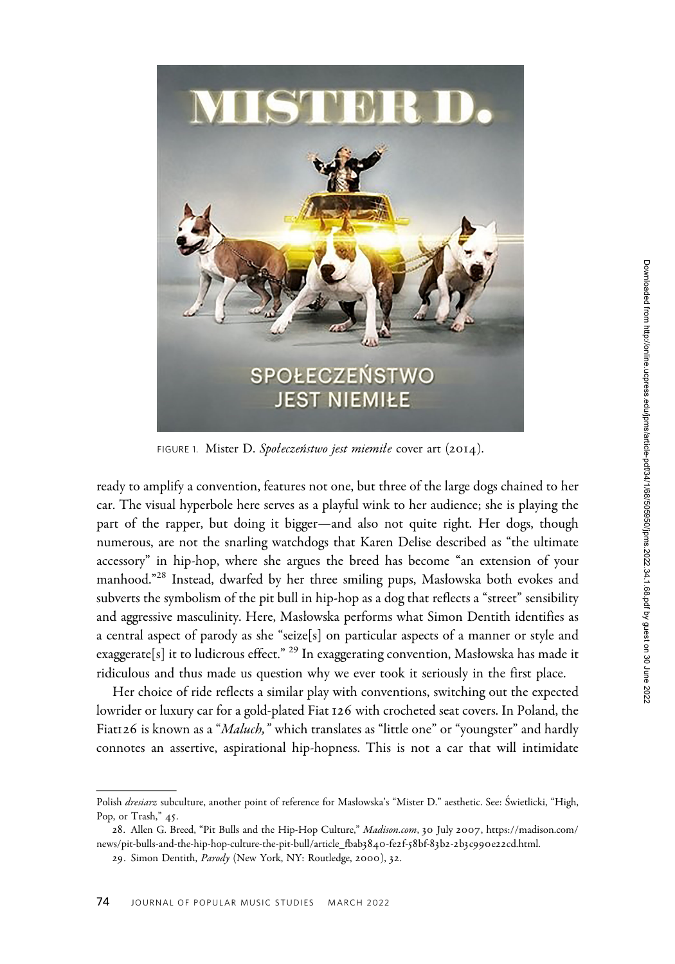

FIGURE 1. Mister D. Społeczeństwo jest miemiłe cover art (2014).

ready to amplify a convention, features not one, but three of the large dogs chained to her car. The visual hyperbole here serves as a playful wink to her audience; she is playing the part of the rapper, but doing it bigger—and also not quite right. Her dogs, though numerous, are not the snarling watchdogs that Karen Delise described as "the ultimate accessory" in hip-hop, where she argues the breed has become "an extension of your manhood."<sup>28</sup> Instead, dwarfed by her three smiling pups, Masłowska both evokes and subverts the symbolism of the pit bull in hip-hop as a dog that reflects a "street" sensibility and aggressive masculinity. Here, Masłowska performs what Simon Dentith identifies as a central aspect of parody as she "seize[s] on particular aspects of a manner or style and exaggerate $[s]$  it to ludicrous effect."  $^{29}$  In exaggerating convention, Masłowska has made it ridiculous and thus made us question why we ever took it seriously in the first place. numerous, are no<br>accessory" in hip<br>manhood."<sup>28</sup> Inst<br>subverts the symb<br>and aggressive ma<br>a central aspect o<br>exaggerate[s] it to<br>ridiculous and th<br>Her choice of<br>lowrider or luxury<br>Fiat126 is known<br>connotes an asset<br>Polish

Her choice of ride reflects a similar play with conventions, switching out the expected lowrider or luxury car for a gold-plated Fiat 126 with crocheted seat covers. In Poland, the Fiat126 is known as a "*Maluch*," which translates as "little one" or "youngster" and hardly connotes an assertive, aspirational hip-hopness. This is not a car that will intimidate

Polish dresiarz subculture, another point of reference for Masłowska's "Mister D." aesthetic. See: Świetlicki, "High, Pop, or Trash," 45.

<sup>28</sup>. Allen G. Breed, "Pit Bulls and the Hip-Hop Culture," <Madison.com>, 30 July 2007, [https://madison.com/](https://madison.com/news/pit-bulls-and-the-hip-hop-culture-the-pit-bull/article_fbab3840-fe2f-58bf-83b2-2b3c990e22cd.html) [news/pit-bulls-and-the-hip-hop-culture-the-pit-bull/article\\_fbab](https://madison.com/news/pit-bulls-and-the-hip-hop-culture-the-pit-bull/article_fbab3840-fe2f-58bf-83b2-2b3c990e22cd.html)3840-fe2f-58bf-83b2-2b3c990e22cd.html.

<sup>29.</sup> Simon Dentith, Parody (New York, NY: Routledge, 2000), 32.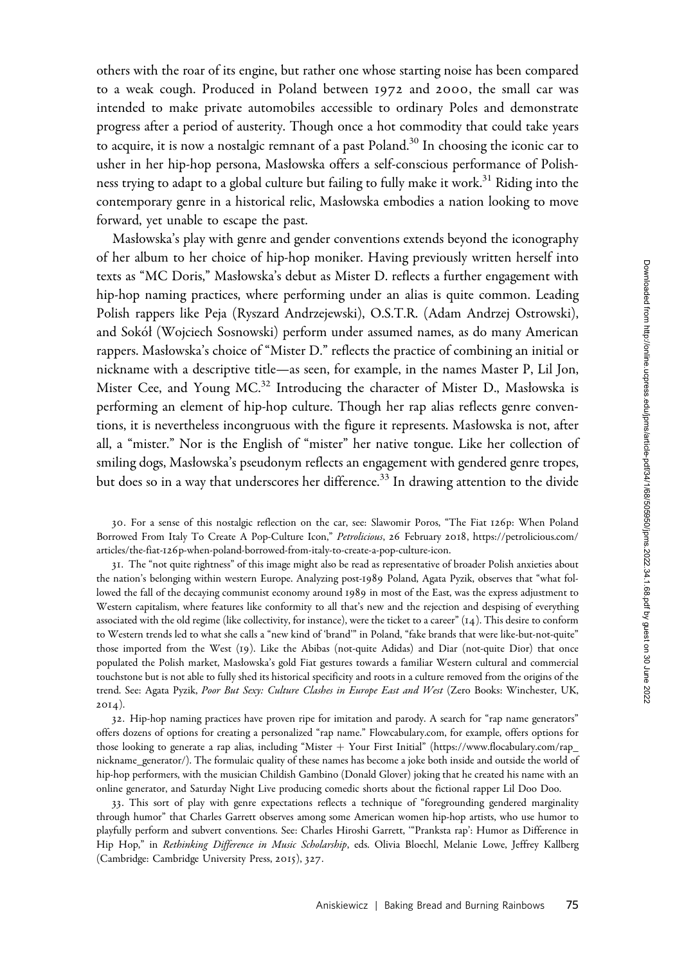others with the roar of its engine, but rather one whose starting noise has been compared to a weak cough. Produced in Poland between 1972 and 2000, the small car was intended to make private automobiles accessible to ordinary Poles and demonstrate progress after a period of austerity. Though once a hot commodity that could take years to acquire, it is now a nostalgic remnant of a past  $Poland<sup>30</sup>$  In choosing the iconic car to usher in her hip-hop persona, Masłowska offers a self-conscious performance of Polishness trying to adapt to a global culture but failing to fully make it work.<sup>31</sup> Riding into the contemporary genre in a historical relic, Masłowska embodies a nation looking to move forward, yet unable to escape the past.

Masłowska's play with genre and gender conventions extends beyond the iconography of her album to her choice of hip-hop moniker. Having previously written herself into texts as "MC Doris," Masłowska's debut as Mister D. reflects a further engagement with hip-hop naming practices, where performing under an alias is quite common. Leading Polish rappers like Peja (Ryszard Andrzejewski), O.S.T.R. (Adam Andrzej Ostrowski), and Sokół (Wojciech Sosnowski) perform under assumed names, as do many American rappers. Masłowska's choice of "Mister D." reflects the practice of combining an initial or nickname with a descriptive title—as seen, for example, in the names Master P, Lil Jon, Mister Cee, and Young MC.<sup>32</sup> Introducing the character of Mister D., Masłowska is performing an element of hip-hop culture. Though her rap alias reflects genre conventions, it is nevertheless incongruous with the figure it represents. Masłowska is not, after all, a "mister." Nor is the English of "mister" her native tongue. Like her collection of smiling dogs, Masłowska's pseudonym reflects an engagement with gendered genre tropes, but does so in a way that underscores her difference.<sup>33</sup> In drawing attention to the divide

30. For a sense of this nostalgic reflection on the car, see: Slawomir Poros, "The Fiat 126p: When Poland Borrowed From Italy To Create A Pop-Culture Icon," Petrolicious, 26 February 2018, [https://petrolicious.com/](https://petrolicious.com/articles/the-fiat-126p-when-poland-borrowed-from-italy-to-create-a-pop-culture-icon) articles/the-fiat-126[p-when-poland-borrowed-from-italy-to-create-a-pop-culture-icon](https://petrolicious.com/articles/the-fiat-126p-when-poland-borrowed-from-italy-to-create-a-pop-culture-icon).

31. The "not quite rightness" of this image might also be read as representative of broader Polish anxieties about the nation's belonging within western Europe. Analyzing post-1989 Poland, Agata Pyzik, observes that "what followed the fall of the decaying communist economy around 1989 in most of the East, was the express adjustment to Western capitalism, where features like conformity to all that's new and the rejection and despising of everything associated with the old regime (like collectivity, for instance), were the ticket to a career" (14). This desire to conform to Western trends led to what she calls a "new kind of 'brand'" in Poland, "fake brands that were like-but-not-quite" those imported from the West (19). Like the Abibas (not-quite Adidas) and Diar (not-quite Dior) that once populated the Polish market, Masłowska's gold Fiat gestures towards a familiar Western cultural and commercial touchstone but is not able to fully shed its historical specificity and roots in a culture removed from the origins of the trend. See: Agata Pyzik, Poor But Sexy: Culture Clashes in Europe East and West (Zero Books: Winchester, UK, 2014).

32. Hip-hop naming practices have proven ripe for imitation and parody. A search for "rap name generators" offers dozens of options for creating a personalized "rap name." [Flowcabulary.com,](Flowcabulary.com) for example, offers options for those looking to generate a rap alias, including "Mister  $+$  Your First Initial" ([https://www.flocabulary.com/rap\\_](https://www.flocabulary.com/rap_nickname_generator/) [nickname\\_generator/\)](https://www.flocabulary.com/rap_nickname_generator/). The formulaic quality of these names has become a joke both inside and outside the world of hip-hop performers, with the musician Childish Gambino (Donald Glover) joking that he created his name with an online generator, and Saturday Night Live producing comedic shorts about the fictional rapper Lil Doo Doo.

33. This sort of play with genre expectations reflects a technique of "foregrounding gendered marginality through humor" that Charles Garrett observes among some American women hip-hop artists, who use humor to playfully perform and subvert conventions. See: Charles Hiroshi Garrett, '"Pranksta rap': Humor as Difference in Hip Hop," in Rethinking Difference in Music Scholarship, eds. Olivia Bloechl, Melanie Lowe, Jeffrey Kallberg (Cambridge: Cambridge University Press, 2015), 327.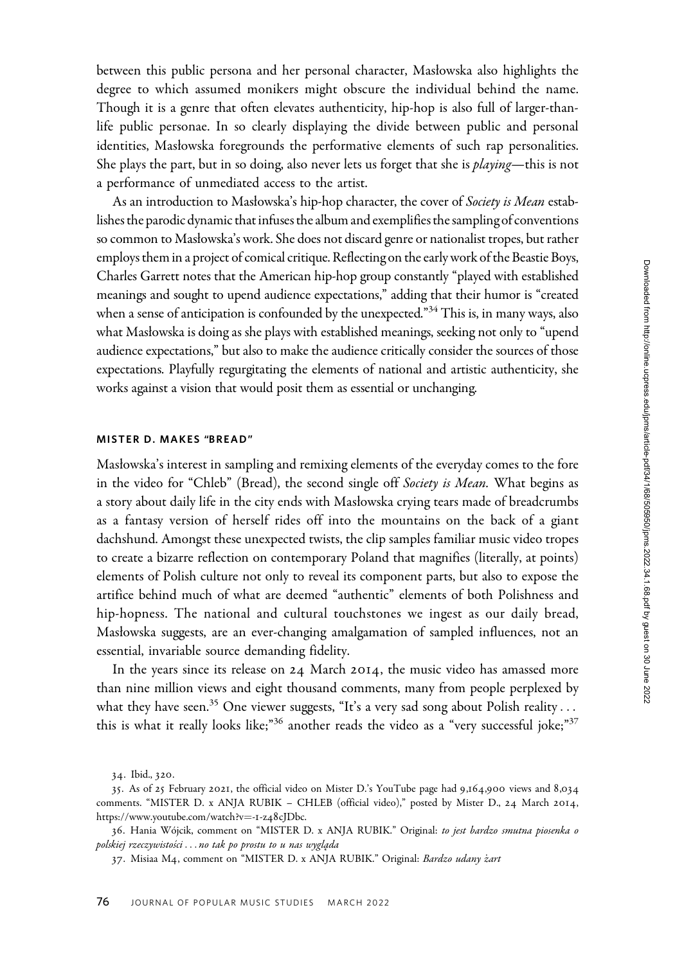between this public persona and her personal character, Masłowska also highlights the degree to which assumed monikers might obscure the individual behind the name. Though it is a genre that often elevates authenticity, hip-hop is also full of larger-thanlife public personae. In so clearly displaying the divide between public and personal identities, Masłowska foregrounds the performative elements of such rap personalities. She plays the part, but in so doing, also never lets us forget that she is *playing*—this is not a performance of unmediated access to the artist.

As an introduction to Masłowska's hip-hop character, the cover of Society is Mean establishes the parodic dynamic that infuses the album and exemplifies the sampling of conventions so common to Masłowska's work. She does not discard genre or nationalist tropes, but rather employs them in a project of comical critique. Reflecting on the early work of the Beastie Boys, Charles Garrett notes that the American hip-hop group constantly "played with established meanings and sought to upend audience expectations," adding that their humor is "created when a sense of anticipation is confounded by the unexpected." $34$  This is, in many ways, also what Masłowska is doing as she plays with established meanings, seeking not only to "upend audience expectations," but also to make the audience critically consider the sources of those expectations. Playfully regurgitating the elements of national and artistic authenticity, she works against a vision that would posit them as essential or unchanging.

# MISTER D. MAKES "BREAD"

Masłowska's interest in sampling and remixing elements of the everyday comes to the fore in the video for "Chleb" (Bread), the second single off Society is Mean. What begins as a story about daily life in the city ends with Masłowska crying tears made of breadcrumbs as a fantasy version of herself rides off into the mountains on the back of a giant dachshund. Amongst these unexpected twists, the clip samples familiar music video tropes to create a bizarre reflection on contemporary Poland that magnifies (literally, at points) elements of Polish culture not only to reveal its component parts, but also to expose the artifice behind much of what are deemed "authentic" elements of both Polishness and hip-hopness. The national and cultural touchstones we ingest as our daily bread, Masłowska suggests, are an ever-changing amalgamation of sampled influences, not an essential, invariable source demanding fidelity.

In the years since its release on 24 March 2014, the music video has amassed more than nine million views and eight thousand comments, many from people perplexed by what they have seen.<sup>35</sup> One viewer suggests, "It's a very sad song about Polish reality... this is what it really looks like;"<sup>36</sup> another reads the video as a "very successful joke;"<sup>37</sup>

<sup>34</sup>. Ibid., 320.

<sup>35</sup>. As of 25 February 2021, the official video on Mister D.'s YouTube page had 9,164,900 views and 8,034 comments. "MISTER D. x ANJA RUBIK – CHLEB (official video)," posted by Mister D., 24 March 2014, [https://www.youtube.com/watch?v](https://www.youtube.com/watch?v=-1-z48cJDbc)=-1-z48[cJDbc](https://www.youtube.com/watch?v=-1-z48cJDbc).

<sup>36.</sup> Hania Wójcik, comment on "MISTER D. x ANJA RUBIK." Original: to jest bardzo smutna piosenka o polskiej rzeczywistości ... no tak po prostu to u nas wygląda

<sup>37.</sup> Misiaa M4, comment on "MISTER D. x ANJA RUBIK." Original: Bardzo udany żart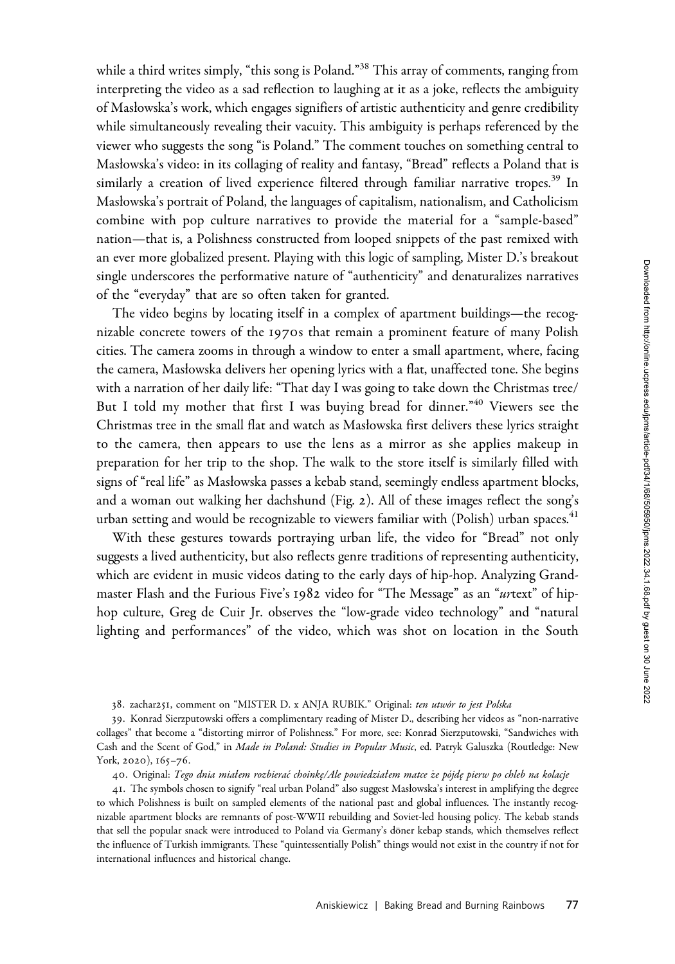while a third writes simply, "this song is Poland."<sup>38</sup> This array of comments, ranging from interpreting the video as a sad reflection to laughing at it as a joke, reflects the ambiguity of Masłowska's work, which engages signifiers of artistic authenticity and genre credibility while simultaneously revealing their vacuity. This ambiguity is perhaps referenced by the viewer who suggests the song "is Poland." The comment touches on something central to Masłowska's video: in its collaging of reality and fantasy, "Bread" reflects a Poland that is similarly a creation of lived experience filtered through familiar narrative tropes.<sup>39</sup> In Masłowska's portrait of Poland, the languages of capitalism, nationalism, and Catholicism combine with pop culture narratives to provide the material for a "sample-based" nation—that is, a Polishness constructed from looped snippets of the past remixed with an ever more globalized present. Playing with this logic of sampling, Mister D.'s breakout single underscores the performative nature of "authenticity" and denaturalizes narratives of the "everyday" that are so often taken for granted.

The video begins by locating itself in a complex of apartment buildings—the recognizable concrete towers of the 1970s that remain a prominent feature of many Polish cities. The camera zooms in through a window to enter a small apartment, where, facing the camera, Masłowska delivers her opening lyrics with a flat, unaffected tone. She begins with a narration of her daily life: "That day I was going to take down the Christmas tree/ But I told my mother that first I was buying bread for dinner."<sup>40</sup> Viewers see the Christmas tree in the small flat and watch as Masłowska first delivers these lyrics straight to the camera, then appears to use the lens as a mirror as she applies makeup in preparation for her trip to the shop. The walk to the store itself is similarly filled with signs of "real life" as Masłowska passes a kebab stand, seemingly endless apartment blocks, and a woman out walking her dachshund (Fig. 2). All of these images reflect the song's urban setting and would be recognizable to viewers familiar with (Polish) urban spaces. $41$ 

With these gestures towards portraying urban life, the video for "Bread" not only suggests a lived authenticity, but also reflects genre traditions of representing authenticity, which are evident in music videos dating to the early days of hip-hop. Analyzing Grandmaster Flash and the Furious Five's 1982 video for "The Message" as an "urtext" of hiphop culture, Greg de Cuir Jr. observes the "low-grade video technology" and "natural lighting and performances" of the video, which was shot on location in the South

38. zachar251, comment on "MISTER D. x ANJA RUBIK." Original: ten utwór to jest Polska

40. Original: Tego dnia miałem rozbierać choinkę/Ale powiedziałem matce że pójdę pierw po chleb na kolacje

41. The symbols chosen to signify "real urban Poland" also suggest Masłowska's interest in amplifying the degree to which Polishness is built on sampled elements of the national past and global influences. The instantly recognizable apartment blocks are remnants of post-WWII rebuilding and Soviet-led housing policy. The kebab stands that sell the popular snack were introduced to Poland via Germany's döner kebap stands, which themselves reflect the influence of Turkish immigrants. These "quintessentially Polish" things would not exist in the country if not for international influences and historical change.

<sup>39</sup>. Konrad Sierzputowski offers a complimentary reading of Mister D., describing her videos as "non-narrative collages" that become a "distorting mirror of Polishness." For more, see: Konrad Sierzputowski, "Sandwiches with Cash and the Scent of God," in Made in Poland: Studies in Popular Music, ed. Patryk Galuszka (Routledge: New York, 2020), 165-76.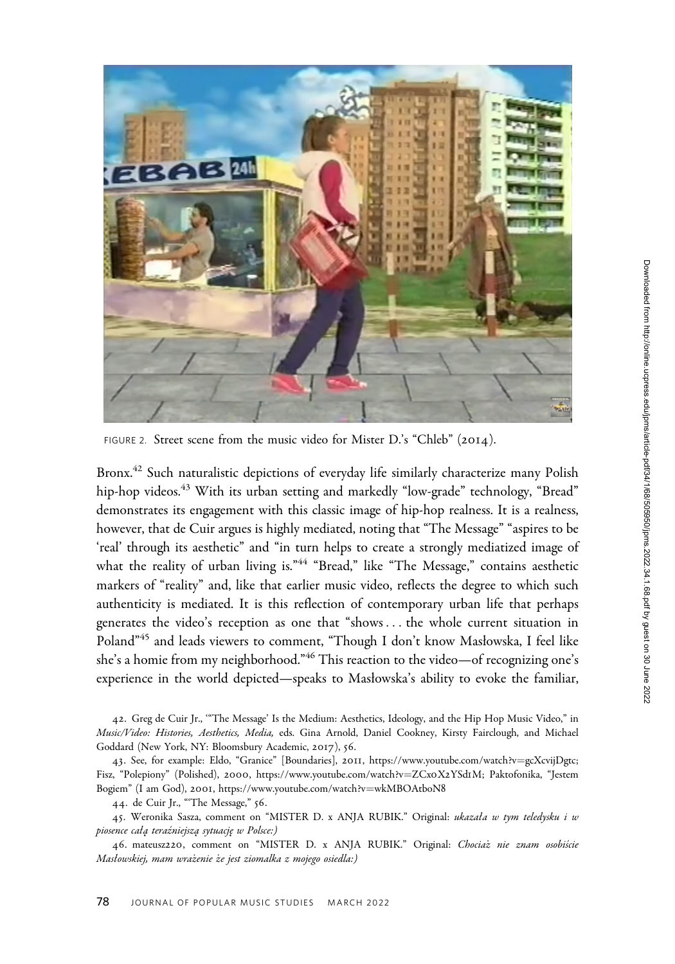

FIGURE 2. Street scene from the music video for Mister D.'s "Chleb" (2014).

Bronx.<sup>42</sup> Such naturalistic depictions of everyday life similarly characterize many Polish hip-hop videos.<sup>43</sup> With its urban setting and markedly "low-grade" technology, "Bread" demonstrates its engagement with this classic image of hip-hop realness. It is a realness, however, that de Cuir argues is highly mediated, noting that "The Message" "aspires to be 'real' through its aesthetic" and "in turn helps to create a strongly mediatized image of what the reality of urban living is."<sup>44</sup> "Bread," like "The Message," contains aesthetic markers of "reality" and, like that earlier music video, reflects the degree to which such authenticity is mediated. It is this reflection of contemporary urban life that perhaps generates the video's reception as one that "shows ... the whole current situation in Poland"<sup>45</sup> and leads viewers to comment, "Though I don't know Masłowska, I feel like she's a homie from my neighborhood."<sup>46</sup> This reaction to the video—of recognizing one's experience in the world depicted—speaks to Masłowska's ability to evoke the familiar,

42. Greg de Cuir Jr., '"The Message' Is the Medium: Aesthetics, Ideology, and the Hip Hop Music Video," in Music/Video: Histories, Aesthetics, Media, eds. Gina Arnold, Daniel Cookney, Kirsty Fairclough, and Michael Goddard (New York, NY: Bloomsbury Academic, 2017), 56.

43. See, for example: Eldo, "Granice" [Boundaries], 2011, [https://www.youtube.com/watch?v](https://www.youtube.com/watch?v=gcXcvijDgtc)=[gcXcvijDgtc;](https://www.youtube.com/watch?v=gcXcvijDgtc) Fisz, "Polepiony" (Polished), 2000, [https://www.youtube.com/watch?v](https://www.youtube.com/watch?v=ZCx0X2YSd1M)=[ZCx](https://www.youtube.com/watch?v=ZCx0X2YSd1M)0X2YSd1M; Paktofonika, "Jestem Bogiem" (I am God), 2001, [https://www.youtube.com/watch?v](https://www.youtube.com/watch?v=wkMBOAtboN8)=[wkMBOAtboN](https://www.youtube.com/watch?v=wkMBOAtboN8)8

44. de Cuir Jr., "'The Message," 56.

45. Weronika Sasza, comment on "MISTER D. x ANJA RUBIK." Original: ukazała w tym teledysku i w piosence całą teraźniejszą sytuację w Polsce:)

46. mateusz220, comment on "MISTER D. x ANJA RUBIK." Original: Chociaż nie znam osobiście Masłowskiej, mam wrażenie że jest ziomalka z mojego osiedla:)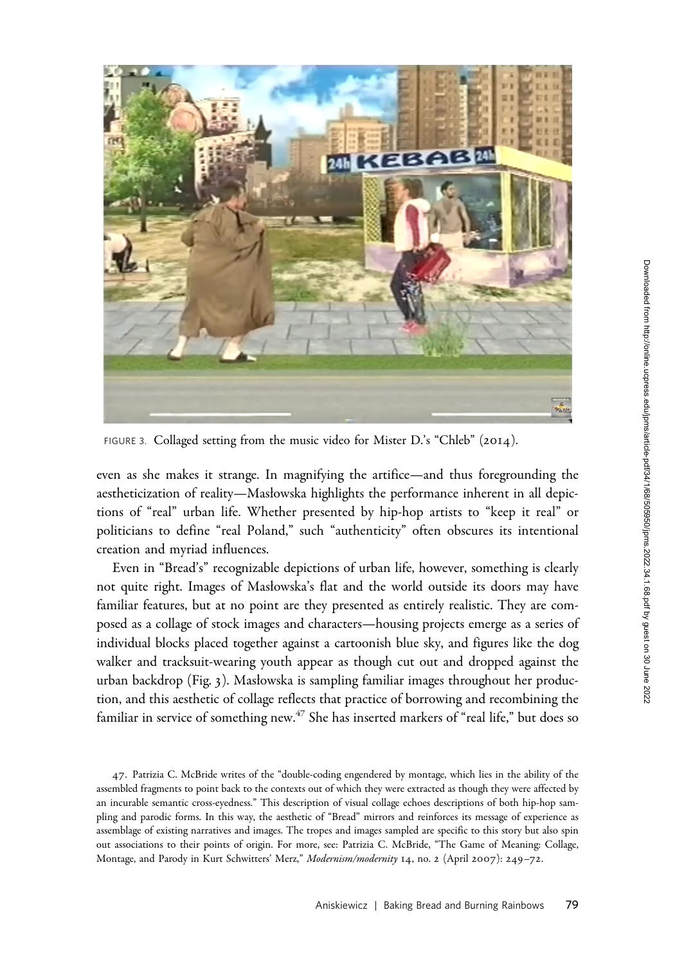

FIGURE 3. Collaged setting from the music video for Mister D.'s "Chleb" (2014).

even as she makes it strange. In magnifying the artifice—and thus foregrounding the aestheticization of reality—Masłowska highlights the performance inherent in all depictions of "real" urban life. Whether presented by hip-hop artists to "keep it real" or politicians to define "real Poland," such "authenticity" often obscures its intentional creation and myriad influences.

Even in "Bread's" recognizable depictions of urban life, however, something is clearly not quite right. Images of Masłowska's flat and the world outside its doors may have familiar features, but at no point are they presented as entirely realistic. They are composed as a collage of stock images and characters—housing projects emerge as a series of individual blocks placed together against a cartoonish blue sky, and figures like the dog walker and tracksuit-wearing youth appear as though cut out and dropped against the urban backdrop (Fig. 3). Masłowska is sampling familiar images throughout her production, and this aesthetic of collage reflects that practice of borrowing and recombining the familiar in service of something new.<sup> $47$ </sup> She has inserted markers of "real life," but does so

<sup>47</sup>. Patrizia C. McBride writes of the "double-coding engendered by montage, which lies in the ability of the assembled fragments to point back to the contexts out of which they were extracted as though they were affected by an incurable semantic cross-eyedness." This description of visual collage echoes descriptions of both hip-hop sampling and parodic forms. In this way, the aesthetic of "Bread" mirrors and reinforces its message of experience as assemblage of existing narratives and images. The tropes and images sampled are specific to this story but also spin out associations to their points of origin. For more, see: Patrizia C. McBride, "The Game of Meaning: Collage, Montage, and Parody in Kurt Schwitters' Merz," Modernism/modernity 14, no. 2 (April 2007): 249-72.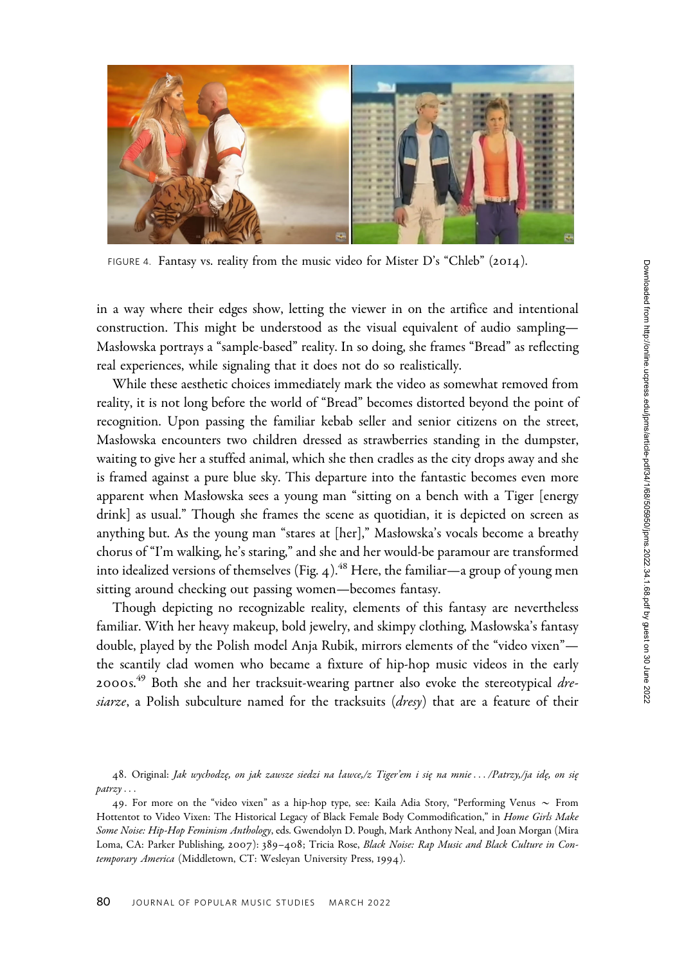

FIGURE 4. Fantasy vs. reality from the music video for Mister D's "Chleb" (2014).

in a way where their edges show, letting the viewer in on the artifice and intentional construction. This might be understood as the visual equivalent of audio sampling— Masłowska portrays a "sample-based" reality. In so doing, she frames "Bread" as reflecting real experiences, while signaling that it does not do so realistically.

While these aesthetic choices immediately mark the video as somewhat removed from reality, it is not long before the world of "Bread" becomes distorted beyond the point of recognition. Upon passing the familiar kebab seller and senior citizens on the street, Masłowska encounters two children dressed as strawberries standing in the dumpster, waiting to give her a stuffed animal, which she then cradles as the city drops away and she is framed against a pure blue sky. This departure into the fantastic becomes even more apparent when Masłowska sees a young man "sitting on a bench with a Tiger [energy drink] as usual." Though she frames the scene as quotidian, it is depicted on screen as anything but. As the young man "stares at [her]," Masłowska's vocals become a breathy chorus of "I'm walking, he's staring," and she and her would-be paramour are transformed into idealized versions of themselves (Fig. 4).<sup>48</sup> Here, the familiar—a group of young men sitting around checking out passing women—becomes fantasy.

Though depicting no recognizable reality, elements of this fantasy are nevertheless familiar. With her heavy makeup, bold jewelry, and skimpy clothing, Masłowska's fantasy double, played by the Polish model Anja Rubik, mirrors elements of the "video vixen" the scantily clad women who became a fixture of hip-hop music videos in the early 2000s.<sup>49</sup> Both she and her tracksuit-wearing partner also evoke the stereotypical dresiarze, a Polish subculture named for the tracksuits (dresy) that are a feature of their

48. Original: Jak wychodzę, on jak zawsze siedzi na ławce,/z Tiger'em i się na mnie.../Patrzy,/ja idę, on się patrzy...

<sup>49.</sup> For more on the "video vixen" as a hip-hop type, see: Kaila Adia Story, "Performing Venus  $\sim$  From Hottentot to Video Vixen: The Historical Legacy of Black Female Body Commodification," in Home Girls Make Some Noise: Hip-Hop Feminism Anthology, eds. Gwendolyn D. Pough, Mark Anthony Neal, and Joan Morgan (Mira Loma, CA: Parker Publishing, 2007): 389–408; Tricia Rose, Black Noise: Rap Music and Black Culture in Contemporary America (Middletown, CT: Wesleyan University Press, 1994).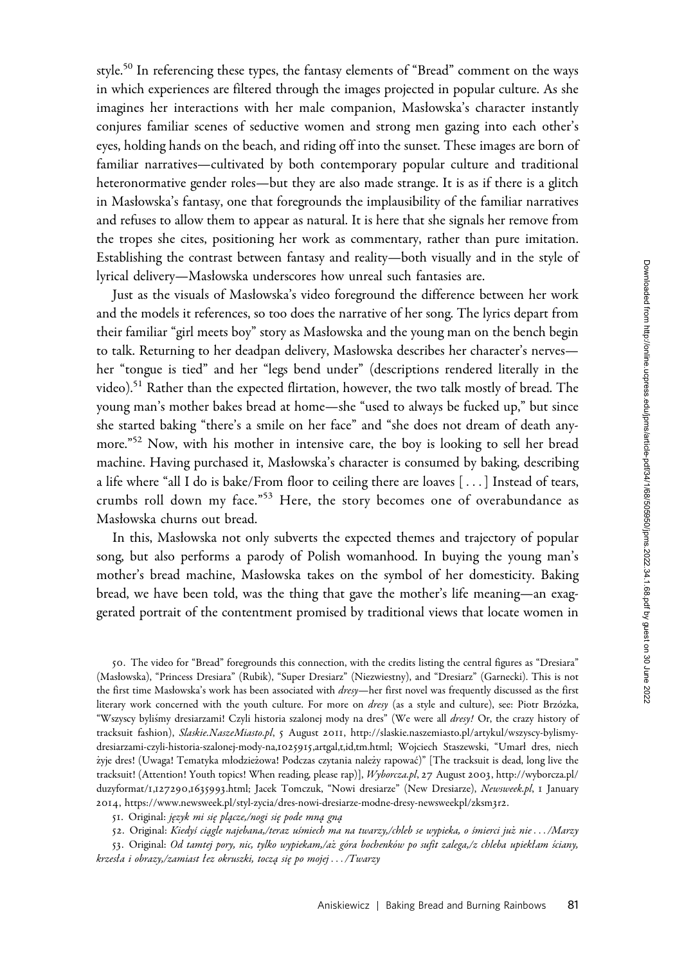style.<sup>50</sup> In referencing these types, the fantasy elements of "Bread" comment on the ways in which experiences are filtered through the images projected in popular culture. As she imagines her interactions with her male companion, Masłowska's character instantly conjures familiar scenes of seductive women and strong men gazing into each other's eyes, holding hands on the beach, and riding off into the sunset. These images are born of familiar narratives—cultivated by both contemporary popular culture and traditional heteronormative gender roles—but they are also made strange. It is as if there is a glitch in Masłowska's fantasy, one that foregrounds the implausibility of the familiar narratives and refuses to allow them to appear as natural. It is here that she signals her remove from the tropes she cites, positioning her work as commentary, rather than pure imitation. Establishing the contrast between fantasy and reality—both visually and in the style of lyrical delivery—Masłowska underscores how unreal such fantasies are.

Just as the visuals of Masłowska's video foreground the difference between her work and the models it references, so too does the narrative of her song. The lyrics depart from their familiar "girl meets boy" story as Masłowska and the young man on the bench begin to talk. Returning to her deadpan delivery, Masłowska describes her character's nerves her "tongue is tied" and her "legs bend under" (descriptions rendered literally in the video).<sup>51</sup> Rather than the expected flirtation, however, the two talk mostly of bread. The young man's mother bakes bread at home—she "used to always be fucked up," but since she started baking "there's a smile on her face" and "she does not dream of death anymore."<sup>52</sup> Now, with his mother in intensive care, the boy is looking to sell her bread machine. Having purchased it, Masłowska's character is consumed by baking, describing a life where "all I do is bake/From floor to ceiling there are loaves [ ...] Instead of tears, crumbs roll down my face."<sup>53</sup> Here, the story becomes one of overabundance as Masłowska churns out bread.

In this, Masłowska not only subverts the expected themes and trajectory of popular song, but also performs a parody of Polish womanhood. In buying the young man's mother's bread machine, Masłowska takes on the symbol of her domesticity. Baking bread, we have been told, was the thing that gave the mother's life meaning—an exaggerated portrait of the contentment promised by traditional views that locate women in

50. The video for "Bread" foregrounds this connection, with the credits listing the central figures as "Dresiara" (Masłowska), "Princess Dresiara" (Rubik), "Super Dresiarz" (Niezwiestny), and "Dresiarz" (Garnecki). This is not the first time Masłowska's work has been associated with *dresy*—her first novel was frequently discussed as the first literary work concerned with the youth culture. For more on *dresy* (as a style and culture), see: Piotr Brzózka, "Wszyscy byliśmy dresiarzami! Czyli historia szalonej mody na dres" (We were all dresy! Or, the crazy history of tracksuit fashion), <Slaskie.NaszeMiasto.pl>, 5 August 2011, [http://slaskie.naszemiasto.pl/artykul/wszyscy-bylismy](http://slaskie.naszemiasto.pl/artykul/wszyscy-bylismy-dresiarzami-czyli-historia-szalonej-mody-na,1025915,artgal,t,id,tm.html)[dresiarzami-czyli-historia-szalonej-mody-na,](http://slaskie.naszemiasto.pl/artykul/wszyscy-bylismy-dresiarzami-czyli-historia-szalonej-mody-na,1025915,artgal,t,id,tm.html)1025915,artgal,t,id,tm.html; Wojciech Staszewski, "Umarł dres, niech żyje dres! (Uwaga! Tematyka młodzieżowa! Podczas czytania należy rapować)" [The tracksuit is dead, long live the tracksuit! (Attention! Youth topics! When reading, please rap)], <Wyborcza.pl>, 27 August 2003, [http://wyborcza.pl/](http://wyborcza.pl/duzyformat/1,127290,1635993.html) [duzyformat/](http://wyborcza.pl/duzyformat/1,127290,1635993.html)1,127290,1635993.html; Jacek Tomczuk, "Nowi dresiarze" (New Dresiarze), Newsweek.pl, 1 January 2014, [https://www.newsweek.pl/styl-zycia/dres-nowi-dresiarze-modne-dresy-newsweekpl/zksm](https://www.newsweek.pl/styl-zycia/dres-nowi-dresiarze-modne-dresy-newsweekpl/zksm3r2)3r2.

51. Original: język mi się plącze,/nogi się pode mną gną

52. Original: Kiedyś ciągle najebana,/teraz uśmiech ma na twarzy,/chleb se wypieka, o śmierci już nie .../Marzy

53. Original: Od tamtej pory, nic, tylko wypiekam,/aż góra bochenków po sufit zalega,/z chleba upiekłam ściany, krzesła i obrazy,/zamiast łez okruszki, toczą się po mojej .../Twarzy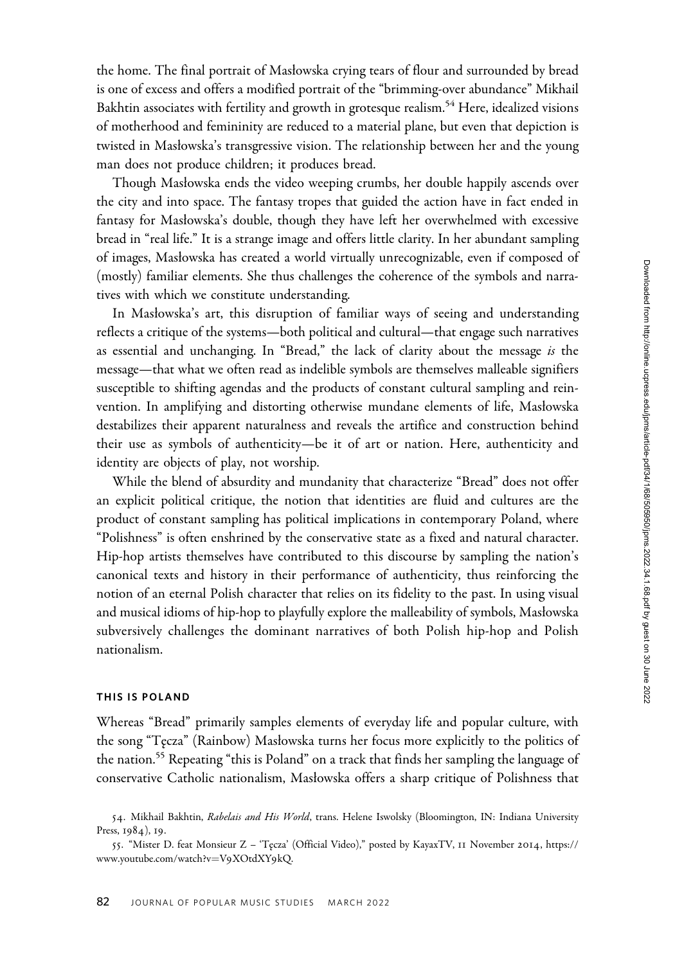the home. The final portrait of Masłowska crying tears of flour and surrounded by bread is one of excess and offers a modified portrait of the "brimming-over abundance" Mikhail Bakhtin associates with fertility and growth in grotesque realism.<sup>54</sup> Here, idealized visions of motherhood and femininity are reduced to a material plane, but even that depiction is twisted in Masłowska's transgressive vision. The relationship between her and the young man does not produce children; it produces bread.

Though Masłowska ends the video weeping crumbs, her double happily ascends over the city and into space. The fantasy tropes that guided the action have in fact ended in fantasy for Masłowska's double, though they have left her overwhelmed with excessive bread in "real life." It is a strange image and offers little clarity. In her abundant sampling of images, Masłowska has created a world virtually unrecognizable, even if composed of (mostly) familiar elements. She thus challenges the coherence of the symbols and narratives with which we constitute understanding.

In Masłowska's art, this disruption of familiar ways of seeing and understanding reflects a critique of the systems—both political and cultural—that engage such narratives as essential and unchanging. In "Bread," the lack of clarity about the message is the message—that what we often read as indelible symbols are themselves malleable signifiers susceptible to shifting agendas and the products of constant cultural sampling and reinvention. In amplifying and distorting otherwise mundane elements of life, Masłowska destabilizes their apparent naturalness and reveals the artifice and construction behind their use as symbols of authenticity—be it of art or nation. Here, authenticity and identity are objects of play, not worship.

While the blend of absurdity and mundanity that characterize "Bread" does not offer an explicit political critique, the notion that identities are fluid and cultures are the product of constant sampling has political implications in contemporary Poland, where "Polishness" is often enshrined by the conservative state as a fixed and natural character. Hip-hop artists themselves have contributed to this discourse by sampling the nation's canonical texts and history in their performance of authenticity, thus reinforcing the notion of an eternal Polish character that relies on its fidelity to the past. In using visual and musical idioms of hip-hop to playfully explore the malleability of symbols, Masłowska subversively challenges the dominant narratives of both Polish hip-hop and Polish nationalism.

### THIS IS POLAND

Whereas "Bread" primarily samples elements of everyday life and popular culture, with the song "T˛ecza" (Rainbow) Masłowska turns her focus more explicitly to the politics of the nation.<sup>55</sup> Repeating "this is Poland" on a track that finds her sampling the language of conservative Catholic nationalism, Masłowska offers a sharp critique of Polishness that

<sup>54.</sup> Mikhail Bakhtin, Rabelais and His World, trans. Helene Iswolsky (Bloomington, IN: Indiana University Press, 1984), 19.

<sup>55</sup>. "Mister D. feat Monsieur Z – 'T˛ecza' (Official Video)," posted by KayaxTV, 11 November 2014, [https://](https://www.youtube.com/watch?v=V9XOtdXY9kQ) [www.youtube.com/watch?v](https://www.youtube.com/watch?v=V9XOtdXY9kQ)=V9[XOtdXY](https://www.youtube.com/watch?v=V9XOtdXY9kQ)9kQ.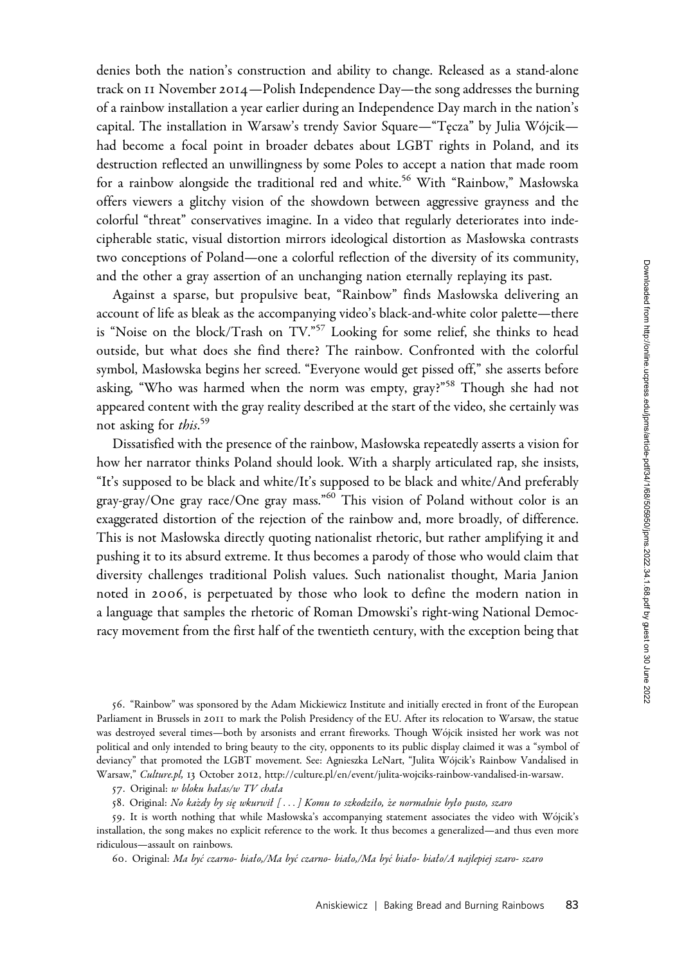denies both the nation's construction and ability to change. Released as a stand-alone track on 11 November 2014—Polish Independence Day—the song addresses the burning of a rainbow installation a year earlier during an Independence Day march in the nation's capital. The installation in Warsaw's trendy Savior Square—"Tecza" by Julia Wójcik had become a focal point in broader debates about LGBT rights in Poland, and its destruction reflected an unwillingness by some Poles to accept a nation that made room for a rainbow alongside the traditional red and white.<sup>56</sup> With "Rainbow," Masłowska offers viewers a glitchy vision of the showdown between aggressive grayness and the colorful "threat" conservatives imagine. In a video that regularly deteriorates into indecipherable static, visual distortion mirrors ideological distortion as Masłowska contrasts two conceptions of Poland—one a colorful reflection of the diversity of its community, and the other a gray assertion of an unchanging nation eternally replaying its past.

Against a sparse, but propulsive beat, "Rainbow" finds Masłowska delivering an account of life as bleak as the accompanying video's black-and-white color palette—there is "Noise on the block/Trash on TV."<sup>57</sup> Looking for some relief, she thinks to head outside, but what does she find there? The rainbow. Confronted with the colorful symbol, Masłowska begins her screed. "Everyone would get pissed off," she asserts before asking, "Who was harmed when the norm was empty, gray?"<sup>58</sup> Though she had not appeared content with the gray reality described at the start of the video, she certainly was not asking for *this*.<sup>59</sup>

Dissatisfied with the presence of the rainbow, Masłowska repeatedly asserts a vision for how her narrator thinks Poland should look. With a sharply articulated rap, she insists, "It's supposed to be black and white/It's supposed to be black and white/And preferably gray-gray/One gray race/One gray mass."<sup>60</sup> This vision of Poland without color is an exaggerated distortion of the rejection of the rainbow and, more broadly, of difference. This is not Masłowska directly quoting nationalist rhetoric, but rather amplifying it and pushing it to its absurd extreme. It thus becomes a parody of those who would claim that diversity challenges traditional Polish values. Such nationalist thought, Maria Janion noted in 2006, is perpetuated by those who look to define the modern nation in a language that samples the rhetoric of Roman Dmowski's right-wing National Democracy movement from the first half of the twentieth century, with the exception being that

56. "Rainbow" was sponsored by the Adam Mickiewicz Institute and initially erected in front of the European Parliament in Brussels in 2011 to mark the Polish Presidency of the EU. After its relocation to Warsaw, the statue was destroyed several times—both by arsonists and errant fireworks. Though Wójcik insisted her work was not political and only intended to bring beauty to the city, opponents to its public display claimed it was a "symbol of deviancy" that promoted the LGBT movement. See: Agnieszka LeNart, "Julita Wójcik's Rainbow Vandalised in Warsaw," <Culture.pl>, 13 October 2012,<http://culture.pl/en/event/julita-wojciks-rainbow-vandalised-in-warsaw>.

57. Original: w bloku hałas/w TV chała

58. Original: No każdy by się wkurwił [...] Komu to szkodziło, że normalnie było pusto, szaro

59. It is worth nothing that while Masłowska's accompanying statement associates the video with Wójcik's installation, the song makes no explicit reference to the work. It thus becomes a generalized—and thus even more ridiculous—assault on rainbows.

60. Original: Ma byc´ czarno- biało,/Ma byc´ czarno- biało,/Ma byc´ biało- biało/A najlepiej szaro- szaro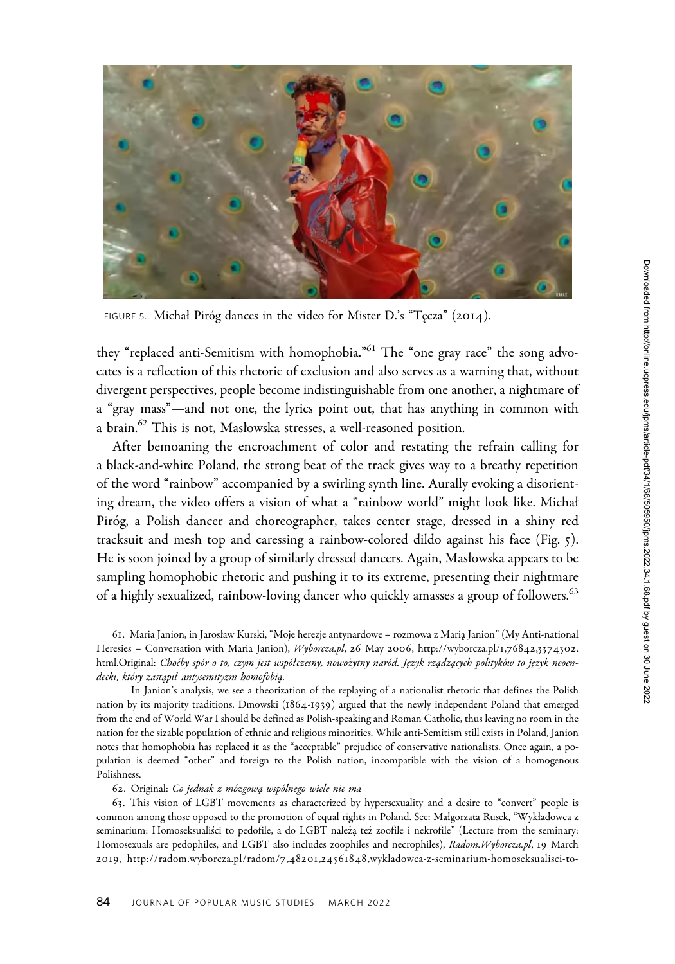

FIGURE 5. Michał Piróg dances in the video for Mister D.'s "Tęcza" (2014).

they "replaced anti-Semitism with homophobia."<sup>61</sup> The "one gray race" the song advocates is a reflection of this rhetoric of exclusion and also serves as a warning that, without divergent perspectives, people become indistinguishable from one another, a nightmare of a "gray mass"—and not one, the lyrics point out, that has anything in common with a brain.<sup>62</sup> This is not, Masłowska stresses, a well-reasoned position.

After bemoaning the encroachment of color and restating the refrain calling for a black-and-white Poland, the strong beat of the track gives way to a breathy repetition of the word "rainbow" accompanied by a swirling synth line. Aurally evoking a disorienting dream, the video offers a vision of what a "rainbow world" might look like. Michał Piróg, a Polish dancer and choreographer, takes center stage, dressed in a shiny red tracksuit and mesh top and caressing a rainbow-colored dildo against his face (Fig. 5). He is soon joined by a group of similarly dressed dancers. Again, Masłowska appears to be sampling homophobic rhetoric and pushing it to its extreme, presenting their nightmare of a highly sexualized, rainbow-loving dancer who quickly amasses a group of followers.<sup>63</sup>

61. Maria Janion, in Jarosław Kurski, "Moje herezje antynardowe – rozmowa z Maria Janion" (My Anti-national Heresies – Conversation with Maria Janion), <Wyborcza.pl>, 26 May 2006, [http://wyborcza.pl/](http://wyborcza.pl/1,76842,3374302.html.Original)1,76842,3374302. [html.Original:](http://wyborcza.pl/1,76842,3374302.html.Original) Choćby spór o to, czym jest współczesny, nowożytny naród. Język rządzących polityków to język neoendecki, który zastąpił antysemityzm homofobią.

In Janion's analysis, we see a theorization of the replaying of a nationalist rhetoric that defines the Polish nation by its majority traditions. Dmowski (1864-1939) argued that the newly independent Poland that emerged from the end of World War I should be defined as Polish-speaking and Roman Catholic, thus leaving no room in the nation for the sizable population of ethnic and religious minorities. While anti-Semitism still exists in Poland, Janion notes that homophobia has replaced it as the "acceptable" prejudice of conservative nationalists. Once again, a population is deemed "other" and foreign to the Polish nation, incompatible with the vision of a homogenous Polishness.

#### 62. Original: Co jednak z mózgową wspólnego wiele nie ma

63. This vision of LGBT movements as characterized by hypersexuality and a desire to "convert" people is common among those opposed to the promotion of equal rights in Poland. See: Małgorzata Rusek, "Wykładowca z seminarium: Homoseksualiści to pedofile, a do LGBT należą też zoofile i nekrofile" (Lecture from the seminary: Homosexuals are pedophiles, and LGBT also includes zoophiles and necrophiles), Radom. Wyborcza.pl, 19 March 2019, http://radom.wyborcza.pl/radom/7,48201,24561848[,wykladowca-z-seminarium-homoseksualisci-to-](http://radom.wyborcza.pl/radom/7,48201,24561848,wykladowca-z-seminarium-homoseksualisci-to-pedofile-a-do-lgbt.html?disableRedirects=true)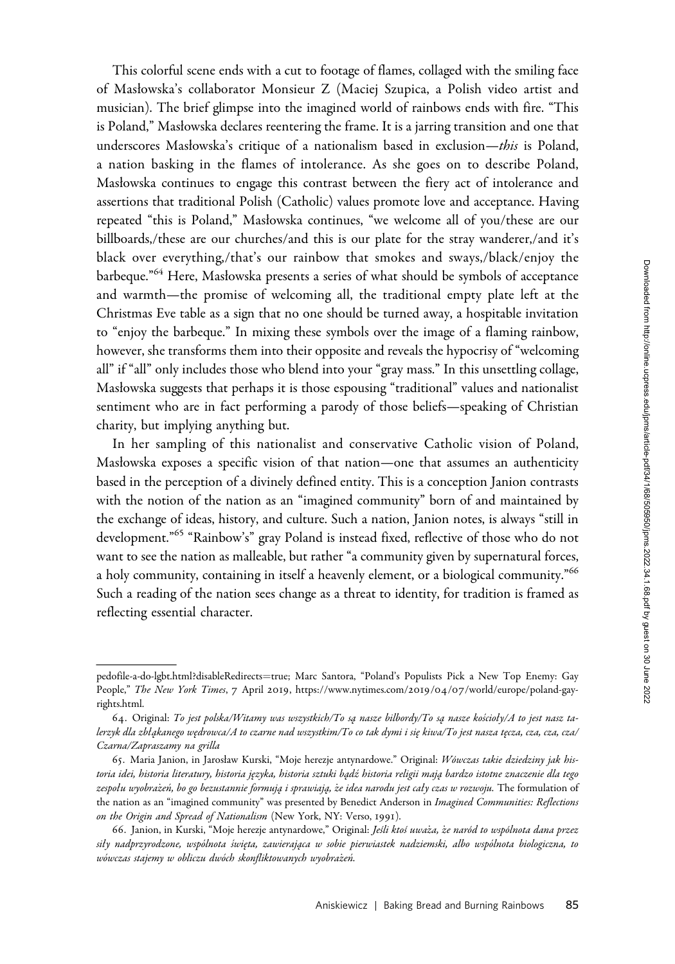This colorful scene ends with a cut to footage of flames, collaged with the smiling face of Masłowska's collaborator Monsieur Z (Maciej Szupica, a Polish video artist and musician). The brief glimpse into the imagined world of rainbows ends with fire. "This is Poland," Masłowska declares reentering the frame. It is a jarring transition and one that underscores Masłowska's critique of a nationalism based in exclusion—this is Poland, a nation basking in the flames of intolerance. As she goes on to describe Poland, Masłowska continues to engage this contrast between the fiery act of intolerance and assertions that traditional Polish (Catholic) values promote love and acceptance. Having repeated "this is Poland," Masłowska continues, "we welcome all of you/these are our billboards,/these are our churches/and this is our plate for the stray wanderer,/and it's black over everything,/that's our rainbow that smokes and sways,/black/enjoy the barbeque."<sup>64</sup> Here, Masłowska presents a series of what should be symbols of acceptance and warmth—the promise of welcoming all, the traditional empty plate left at the Christmas Eve table as a sign that no one should be turned away, a hospitable invitation to "enjoy the barbeque." In mixing these symbols over the image of a flaming rainbow, however, she transforms them into their opposite and reveals the hypocrisy of "welcoming all" if "all" only includes those who blend into your "gray mass." In this unsettling collage, Masłowska suggests that perhaps it is those espousing "traditional" values and nationalist sentiment who are in fact performing a parody of those beliefs—speaking of Christian charity, but implying anything but.

In her sampling of this nationalist and conservative Catholic vision of Poland, Masłowska exposes a specific vision of that nation—one that assumes an authenticity based in the perception of a divinely defined entity. This is a conception Janion contrasts with the notion of the nation as an "imagined community" born of and maintained by the exchange of ideas, history, and culture. Such a nation, Janion notes, is always "still in development."<sup>65</sup> "Rainbow's" gray Poland is instead fixed, reflective of those who do not want to see the nation as malleable, but rather "a community given by supernatural forces, a holy community, containing in itself a heavenly element, or a biological community.<sup>"66</sup> Such a reading of the nation sees change as a threat to identity, for tradition is framed as reflecting essential character. charity, but imply<br>In her sampli<br>Masłowska expos<br>based in the perce<br>with the notion of<br>the exchange of idevelopment."<br>of a development."<br>want to see the na<br>a holy community<br>Such a reading of<br>reflecting essentia<br>pedofile[-](https://www.nytimes.com/2019/04/07/world/europe/poland-gay-rights.html)a-

[pedofile-a-do-lgbt.html?disableRedirects](http://radom.wyborcza.pl/radom/7,48201,24561848,wykladowca-z-seminarium-homoseksualisci-to-pedofile-a-do-lgbt.html?disableRedirects=true)=[true;](http://radom.wyborcza.pl/radom/7,48201,24561848,wykladowca-z-seminarium-homoseksualisci-to-pedofile-a-do-lgbt.html?disableRedirects=true) Marc Santora, "Poland's Populists Pick a New Top Enemy: Gay People," The New York Times, 7 April 2019, https://www.nytimes.com/2019/04/07[/world/europe/poland-gay](https://www.nytimes.com/2019/04/07/world/europe/poland-gay-rights.html)rights.html.

<sup>64.</sup> Original: To jest polska/Witamy was wszystkich/To są nasze bilbordy/To są nasze kościoły/A to jest nasz talerzyk dla zbłąkanego wędrowca/A to czarne nad wszystkim/To co tak dymi i się kiwa/To jest nasza tęcza, cza, cza, cza/ Czarna/Zapraszamy na grilla

<sup>65.</sup> Maria Janion, in Jarosław Kurski, "Moje herezje antynardowe." Original: Wówczas takie dziedziny jak historia idei, historia literatury, historia języka, historia sztuki bądź historia religii mają bardzo istotne znaczenie dla tego zespołu wyobrażeń, bo go bezustannie formują i sprawiają, że idea narodu jest cały czas w rozwoju. The formulation of the nation as an "imagined community" was presented by Benedict Anderson in Imagined Communities: Reflections on the Origin and Spread of Nationalism (New York, NY: Verso, 1991).

<sup>66.</sup> Janion, in Kurski, "Moje herezje antynardowe," Original: Jeśli ktoś uważa, że naród to wspólnota dana przez siły nadprzyrodzone, wspólnota święta, zawierająca w sobie pierwiastek nadziemski, albo wspólnota biologiczna, to wówczas stajemy w obliczu dwóch skonfliktowanych wyobrażeń.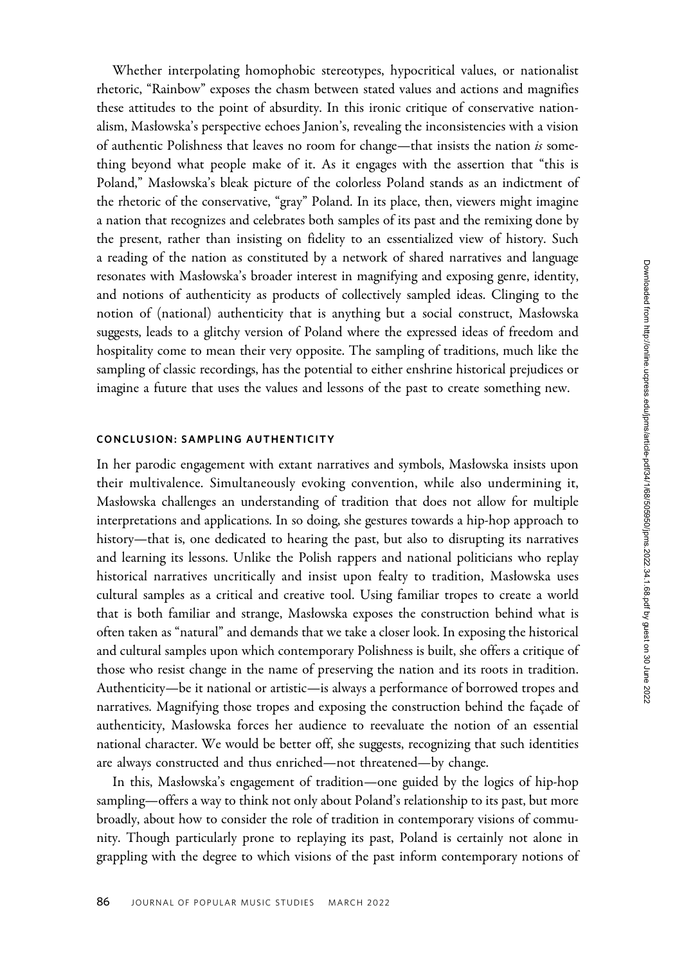Whether interpolating homophobic stereotypes, hypocritical values, or nationalist rhetoric, "Rainbow" exposes the chasm between stated values and actions and magnifies these attitudes to the point of absurdity. In this ironic critique of conservative nationalism, Masłowska's perspective echoes Janion's, revealing the inconsistencies with a vision of authentic Polishness that leaves no room for change—that insists the nation  $is$  something beyond what people make of it. As it engages with the assertion that "this is Poland," Masłowska's bleak picture of the colorless Poland stands as an indictment of the rhetoric of the conservative, "gray" Poland. In its place, then, viewers might imagine a nation that recognizes and celebrates both samples of its past and the remixing done by the present, rather than insisting on fidelity to an essentialized view of history. Such a reading of the nation as constituted by a network of shared narratives and language resonates with Masłowska's broader interest in magnifying and exposing genre, identity, and notions of authenticity as products of collectively sampled ideas. Clinging to the notion of (national) authenticity that is anything but a social construct, Masłowska suggests, leads to a glitchy version of Poland where the expressed ideas of freedom and hospitality come to mean their very opposite. The sampling of traditions, much like the sampling of classic recordings, has the potential to either enshrine historical prejudices or imagine a future that uses the values and lessons of the past to create something new.

# CONCLUSION: SAMPLING AUTHENTICITY

In her parodic engagement with extant narratives and symbols, Masłowska insists upon their multivalence. Simultaneously evoking convention, while also undermining it, Masłowska challenges an understanding of tradition that does not allow for multiple interpretations and applications. In so doing, she gestures towards a hip-hop approach to history—that is, one dedicated to hearing the past, but also to disrupting its narratives and learning its lessons. Unlike the Polish rappers and national politicians who replay historical narratives uncritically and insist upon fealty to tradition, Masłowska uses cultural samples as a critical and creative tool. Using familiar tropes to create a world that is both familiar and strange, Masłowska exposes the construction behind what is often taken as "natural" and demands that we take a closer look. In exposing the historical and cultural samples upon which contemporary Polishness is built, she offers a critique of those who resist change in the name of preserving the nation and its roots in tradition. Authenticity—be it national or artistic—is always a performance of borrowed tropes and narratives. Magnifying those tropes and exposing the construction behind the façade of authenticity, Masłowska forces her audience to reevaluate the notion of an essential national character. We would be better off, she suggests, recognizing that such identities are always constructed and thus enriched—not threatened—by change.

In this, Masłowska's engagement of tradition—one guided by the logics of hip-hop sampling—offers a way to think not only about Poland's relationship to its past, but more broadly, about how to consider the role of tradition in contemporary visions of community. Though particularly prone to replaying its past, Poland is certainly not alone in grappling with the degree to which visions of the past inform contemporary notions of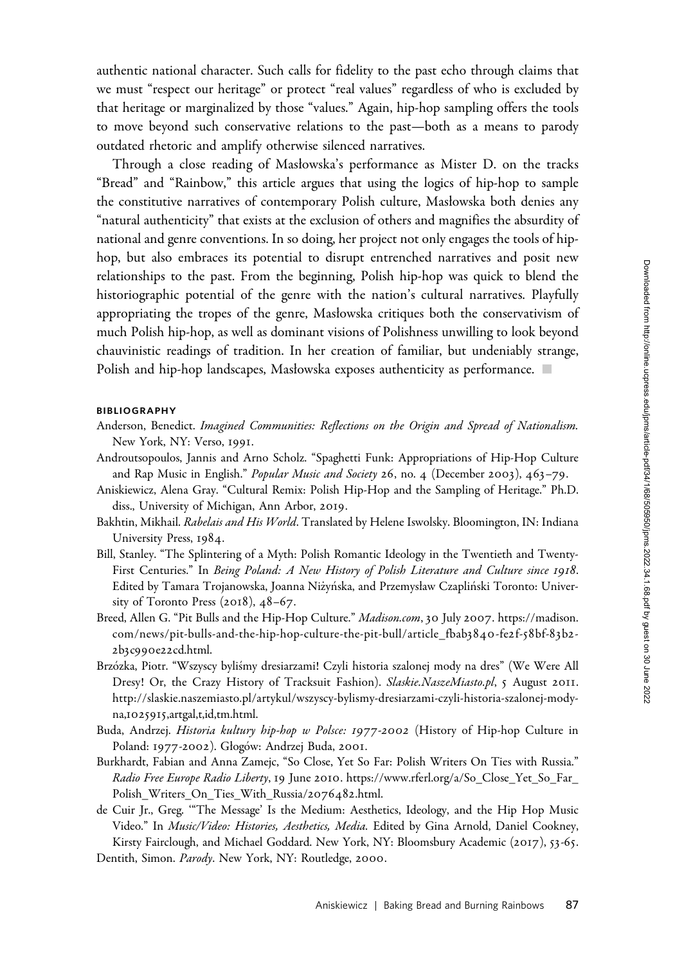authentic national character. Such calls for fidelity to the past echo through claims that we must "respect our heritage" or protect "real values" regardless of who is excluded by that heritage or marginalized by those "values." Again, hip-hop sampling offers the tools to move beyond such conservative relations to the past—both as a means to parody outdated rhetoric and amplify otherwise silenced narratives.

Through a close reading of Masłowska's performance as Mister D. on the tracks "Bread" and "Rainbow," this article argues that using the logics of hip-hop to sample the constitutive narratives of contemporary Polish culture, Masłowska both denies any "natural authenticity" that exists at the exclusion of others and magnifies the absurdity of national and genre conventions. In so doing, her project not only engages the tools of hiphop, but also embraces its potential to disrupt entrenched narratives and posit new relationships to the past. From the beginning, Polish hip-hop was quick to blend the historiographic potential of the genre with the nation's cultural narratives. Playfully appropriating the tropes of the genre, Masłowska critiques both the conservativism of much Polish hip-hop, as well as dominant visions of Polishness unwilling to look beyond chauvinistic readings of tradition. In her creation of familiar, but undeniably strange, Polish and hip-hop landscapes, Masłowska exposes authenticity as performance.

#### BIBLIOGRAPHY

- Anderson, Benedict. Imagined Communities: Reflections on the Origin and Spread of Nationalism. New York, NY: Verso, 1991.
- Androutsopoulos, Jannis and Arno Scholz. "Spaghetti Funk: Appropriations of Hip-Hop Culture and Rap Music in English." Popular Music and Society 26, no. 4 (December 2003), 463-79.
- Aniskiewicz, Alena Gray. "Cultural Remix: Polish Hip-Hop and the Sampling of Heritage." Ph.D. diss., University of Michigan, Ann Arbor, 2019.
- Bakhtin, Mikhail. Rabelais and His World. Translated by Helene Iswolsky. Bloomington, IN: Indiana University Press, 1984.
- Bill, Stanley. "The Splintering of a Myth: Polish Romantic Ideology in the Twentieth and Twenty-First Centuries." In Being Poland: A New History of Polish Literature and Culture since 1918. Edited by Tamara Trojanowska, Joanna Niżyńska, and Przemysław Czapliński Toronto: University of Toronto Press (2018), 48–67.
- Breed, Allen G. "Pit Bulls and the Hip-Hop Culture." <Madison.com>, 30 July 2007. [https://madison.](https://madison.com/news/pit-bulls-and-the-hip-hop-culture-the-pit-bull/article_fbab3840-fe2f-58bf-83b2-2b3c990e22cd.html) [com/news/pit-bulls-and-the-hip-hop-culture-the-pit-bull/article\\_fbab](https://madison.com/news/pit-bulls-and-the-hip-hop-culture-the-pit-bull/article_fbab3840-fe2f-58bf-83b2-2b3c990e22cd.html)3840-fe2f-58bf-8 3b2- 2b3c990e22[cd.html.](https://madison.com/news/pit-bulls-and-the-hip-hop-culture-the-pit-bull/article_fbab3840-fe2f-58bf-83b2-2b3c990e22cd.html)
- Brzózka, Piotr. "Wszyscy byliśmy dresiarzami! Czyli historia szalonej mody na dres" (We Were All Dresy! Or, the Crazy History of Tracksuit Fashion). <Slaskie.NaszeMiasto.pl>, 5 August 2011. [http://slaskie.naszemiasto.pl/artykul/wszyscy-bylismy-dresiarzami-czyli-historia-szalonej-mody](http://slaskie.naszemiasto.pl/artykul/wszyscy-bylismy-dresiarzami-czyli-historia-szalonej-mody-na,1025915,artgal,t,id,tm.html)na,1025915[,artgal,t,id,tm.html.](http://slaskie.naszemiasto.pl/artykul/wszyscy-bylismy-dresiarzami-czyli-historia-szalonej-mody-na,1025915,artgal,t,id,tm.html)
- Buda, Andrzej. Historia kultury hip-hop w Polsce: 1977-2002 (History of Hip-hop Culture in Poland: 1977-2002). Głogów: Andrzej Buda, 2001.
- Burkhardt, Fabian and Anna Zamejc, "So Close, Yet So Far: Polish Writers On Ties with Russia." Radio Free Europe Radio Liberty, 19 June 2010. [https://www.rferl.org/a/So\\_Close\\_Yet\\_So\\_Far\\_](https://www.rferl.org/a/So_Close_Yet_So_Far_Polish_Writers_On_Ties_With_Russia/2076482.html) [Polish\\_Writers\\_On\\_Ties\\_With\\_Russia/](https://www.rferl.org/a/So_Close_Yet_So_Far_Polish_Writers_On_Ties_With_Russia/2076482.html)2076482.html.
- de Cuir Jr., Greg. '"The Message' Is the Medium: Aesthetics, Ideology, and the Hip Hop Music Video." In Music/Video: Histories, Aesthetics, Media. Edited by Gina Arnold, Daniel Cookney, Kirsty Fairclough, and Michael Goddard. New York, NY: Bloomsbury Academic (2017), 53-65.
- Dentith, Simon. Parody. New York, NY: Routledge, 2000.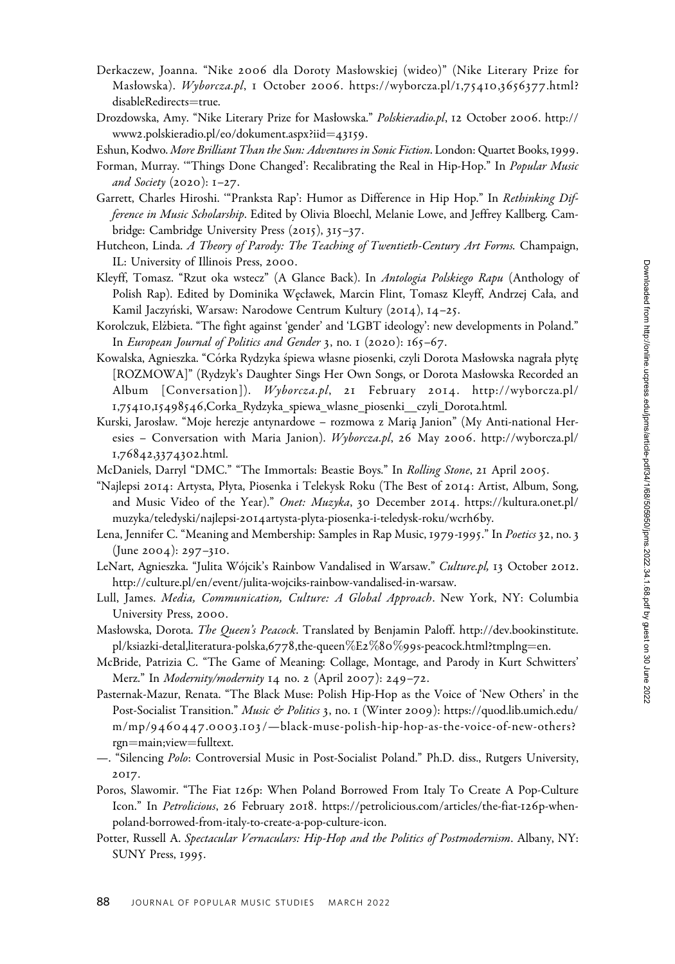- Derkaczew, Joanna. "Nike 2006 dla Doroty Masłowskiej (wideo)" (Nike Literary Prize for Masłowska). <Wyborcza.pl>, 1 October 2006. [https://wyborcza.pl/](https://wyborcza.pl/1,75410,3656377.html?disableRedirects=true)1,75410,3656377.html? [disableRedirects](https://wyborcza.pl/1,75410,3656377.html?disableRedirects=true)=[true.](https://wyborcza.pl/1,75410,3656377.html?disableRedirects=true)
- Drozdowska, Amy. "Nike Literary Prize for Masłowska." <Polskieradio.pl>, 12 October 2006. [http://](http://www2.polskieradio.pl/eo/dokument.aspx?iid=43159) www2[.polskieradio.pl/eo/dokument.aspx?iid](http://www2.polskieradio.pl/eo/dokument.aspx?iid=43159)=[43159](http://www2.polskieradio.pl/eo/dokument.aspx?iid=43159).
- Eshun, Kodwo. More Brilliant Than the Sun: Adventures in Sonic Fiction. London: Quartet Books, 1999.
- Forman, Murray. "Things Done Changed': Recalibrating the Real in Hip-Hop." In *Popular Music* and Society (2020): 1–27.
- Garrett, Charles Hiroshi. "Pranksta Rap': Humor as Difference in Hip Hop." In Rethinking Difference in Music Scholarship. Edited by Olivia Bloechl, Melanie Lowe, and Jeffrey Kallberg. Cambridge: Cambridge University Press (2015), 315–37.
- Hutcheon, Linda. A Theory of Parody: The Teaching of Twentieth-Century Art Forms. Champaign, IL: University of Illinois Press, 2000.
- Kleyff, Tomasz. "Rzut oka wstecz" (A Glance Back). In Antologia Polskiego Rapu (Anthology of Polish Rap). Edited by Dominika W˛ecławek, Marcin Flint, Tomasz Kleyff, Andrzej Cała, and Kamil Jaczyński, Warsaw: Narodowe Centrum Kultury (2014), 14–25.
- Korolczuk, Elzbieta. "The fight against 'gender' and 'LGBT ideology': new developments in Poland." \_ In European Journal of Politics and Gender 3, no.  $1$  (2020):  $165-67$ .
- Kowalska, Agnieszka. "Córka Rydzyka śpiewa własne piosenki, czyli Dorota Masłowska nagrała płytę [ROZMOWA]" (Rydzyk's Daughter Sings Her Own Songs, or Dorota Masłowska Recorded an Album [Conversation]). <Wyborcza.pl>, 21 February 2014. [http://wyborcza.pl/](http://wyborcza.pl/1,75410,15498546,Corka_Rydzyka_spiewa_wlasne_piosenki__czyli_Dorota.html) 1,75410,15498546[,Corka\\_Rydzyka\\_spiewa\\_wlasne\\_piosenki\\_\\_czyli\\_Dorota.html.](http://wyborcza.pl/1,75410,15498546,Corka_Rydzyka_spiewa_wlasne_piosenki__czyli_Dorota.html)
- Kurski, Jarosław. "Moje herezje antynardowe rozmowa z Maria Janion" (My Anti-national Her-esies – Conversation with Maria Janion). <Wyborcza.pl>, 26 May 2006. [http://wyborcza.pl/](http://wyborcza.pl/1,76842,3374302.html) 1,76842,[3374302](http://wyborcza.pl/1,76842,3374302.html).html.
- McDaniels, Darryl "DMC." "The Immortals: Beastie Boys." In Rolling Stone, 21 April 2005.
- "Najlepsi 2014: Artysta, Płyta, Piosenka i Telekysk Roku (The Best of 2014: Artist, Album, Song, and Music Video of the Year)." Onet: Muzyka, 30 December 2014. [https://kultura.onet.pl/](https://kultura.onet.pl/muzyka/teledyski/najlepsi-2014artysta-plyta-piosenka-i-teledysk-roku/wcrh6by) muzyka/teledyski/najlepsi-2014[artysta-plyta-piosenka-i-teledysk-roku/wcrh](https://kultura.onet.pl/muzyka/teledyski/najlepsi-2014artysta-plyta-piosenka-i-teledysk-roku/wcrh6by)6by.
- Lena, Jennifer C. "Meaning and Membership: Samples in Rap Music, 1979-1995." In Poetics 32, no. 3 (June 2004): 297–310.
- LeNart, Agnieszka. "Julita Wójcik's Rainbow Vandalised in Warsaw." <Culture.pl>, 13 October 2012. [http://culture.pl/en/event/julita-wojciks-rainbow-vandalised-in-warsaw.](http://culture.pl/en/event/julita-wojciks-rainbow-vandalised-in-warsaw)
- Lull, James. Media, Communication, Culture: A Global Approach. New York, NY: Columbia University Press, 2000.
- Masłowska, Dorota. The Queen's Peacock. Translated by Benjamin Paloff. [http://dev.bookinstitute.](http://dev.bookinstitute.pl/ksiazki-detal,literatura-polska,6778,the-queen%E2%80%99s-peacock.html?tmplng=en) [pl/ksiazki-detal,literatura-polska,](http://dev.bookinstitute.pl/ksiazki-detal,literatura-polska,6778,the-queen%E2%80%99s-peacock.html?tmplng=en)6778,the-queen%[E](http://dev.bookinstitute.pl/ksiazki-detal,literatura-polska,6778,the-queen%E2%80%99s-peacock.html?tmplng=en)2%[80](http://dev.bookinstitute.pl/ksiazki-detal,literatura-polska,6778,the-queen%E2%80%99s-peacock.html?tmplng=en)%99[s-peacock.html?tmplng](http://dev.bookinstitute.pl/ksiazki-detal,literatura-polska,6778,the-queen%E2%80%99s-peacock.html?tmplng=en)=[en](http://dev.bookinstitute.pl/ksiazki-detal,literatura-polska,6778,the-queen%E2%80%99s-peacock.html?tmplng=en).
- McBride, Patrizia C. "The Game of Meaning: Collage, Montage, and Parody in Kurt Schwitters' Merz." In Modernity/modernity 14 no. 2 (April 2007): 249-72.
- Pasternak-Mazur, Renata. "The Black Muse: Polish Hip-Hop as the Voice of 'New Others' in the Post-Socialist Transition." Music & Politics 3, no. 1 (Winter 2009): [https://quod.lib.umich.edu/](https://quod.lib.umich.edu/m/mp/9460447.0003.103/—black-muse-polish-hip-hop-as-the-voice-of-new-others?rgn=main;view=fulltext) m/mp/9460447 .0003.103[/—black-muse-polish-hip-hop-as-the-voice-of-new-others?](https://quod.lib.umich.edu/m/mp/9460447.0003.103/—black-muse-polish-hip-hop-as-the-voice-of-new-others?rgn=main;view=fulltext) [rgn](https://quod.lib.umich.edu/m/mp/9460447.0003.103/—black-muse-polish-hip-hop-as-the-voice-of-new-others?rgn=main;view=fulltext)=[main;view](https://quod.lib.umich.edu/m/mp/9460447.0003.103/—black-muse-polish-hip-hop-as-the-voice-of-new-others?rgn=main;view=fulltext)=[fulltext](https://quod.lib.umich.edu/m/mp/9460447.0003.103/—black-muse-polish-hip-hop-as-the-voice-of-new-others?rgn=main;view=fulltext).
- —. "Silencing Polo: Controversial Music in Post-Socialist Poland." Ph.D. diss., Rutgers University, 2017.
- Poros, Slawomir. "The Fiat 126p: When Poland Borrowed From Italy To Create A Pop-Culture Icon." In Petrolicious, 26 February 2018. [https://petrolicious.com/articles/the-fiat-](https://petrolicious.com/articles/the-fiat-126p-when-poland-borrowed-from-italy-to-create-a-pop-culture-icon)126p-when[poland-borrowed-from-italy-to-create-a-pop-culture-icon.](https://petrolicious.com/articles/the-fiat-126p-when-poland-borrowed-from-italy-to-create-a-pop-culture-icon)
- Potter, Russell A. Spectacular Vernaculars: Hip-Hop and the Politics of Postmodernism. Albany, NY: SUNY Press, 1995.